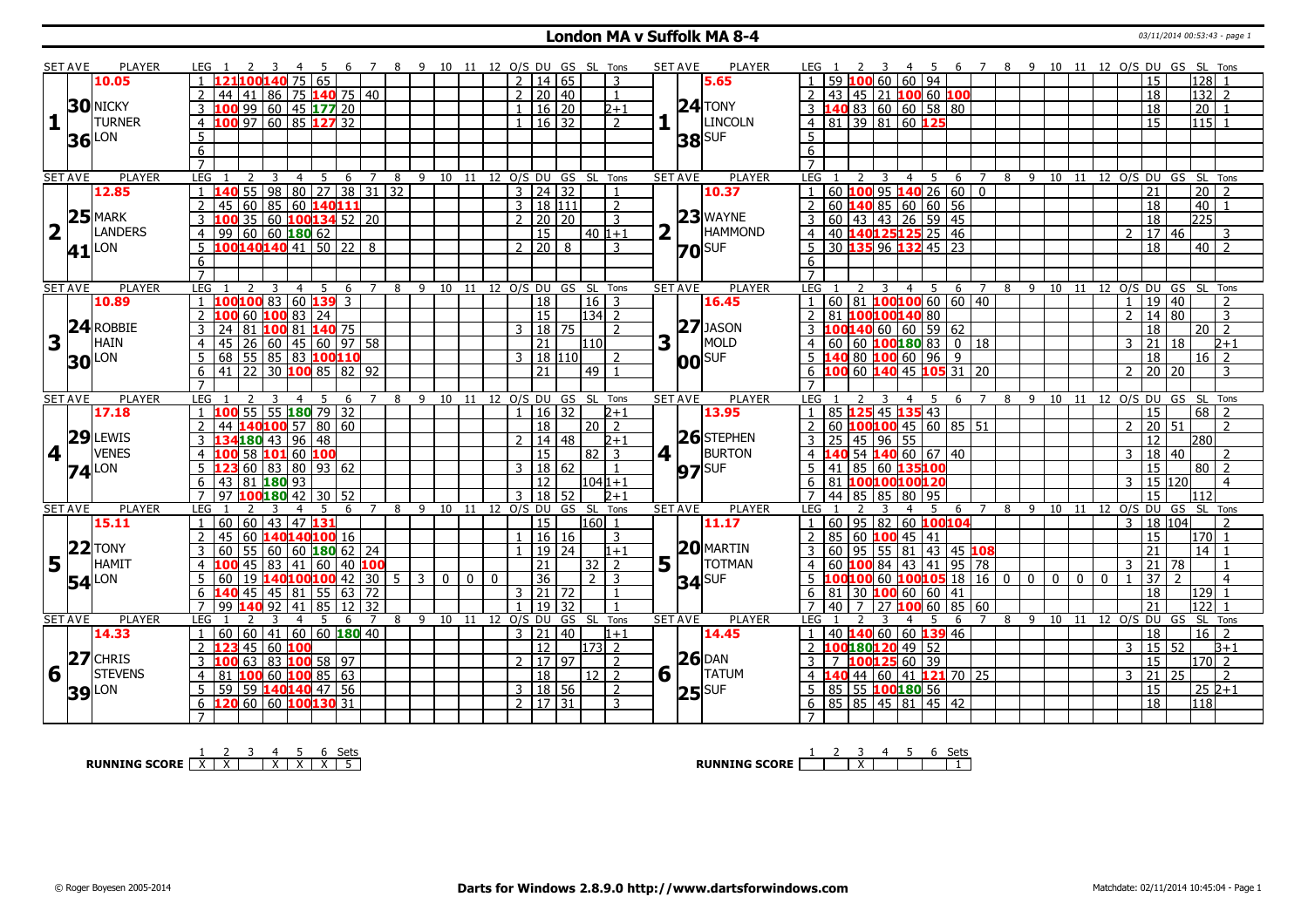#### **London MA v Suffolk MA 8-4** 03/11/2014 00:53:43 - page 1

| SET AVE                 |               | PLAYER              |                      |                                        |                         |                |                                              |                     |   |                     |                |              |              |                | 10 11 12 O/S DU GS SL Tons   |            |                 |                |     | <b>SET AVE</b> | <b>PLAYER</b>  |                  |                                           |    |                      |                |                     | $\overline{7}$          |   |                |              |              |                    |                |                       |                 | 8 9 10 11 12 O/S DU GS SL Tons    |  |
|-------------------------|---------------|---------------------|----------------------|----------------------------------------|-------------------------|----------------|----------------------------------------------|---------------------|---|---------------------|----------------|--------------|--------------|----------------|------------------------------|------------|-----------------|----------------|-----|----------------|----------------|------------------|-------------------------------------------|----|----------------------|----------------|---------------------|-------------------------|---|----------------|--------------|--------------|--------------------|----------------|-----------------------|-----------------|-----------------------------------|--|
|                         |               | 10.05               |                      |                                        | LOO 140 75 65           |                |                                              |                     |   |                     |                |              |              | 2              | 14   65                      |            |                 | $\overline{3}$ |     |                | 5.65           |                  |                                           |    | 60   60   94         |                |                     |                         |   |                |              |              |                    |                | 15                    |                 | 128                               |  |
|                         |               |                     | $\mathcal{P}$<br>44  | 41                                     |                         |                | 86 75 140 75 40                              |                     |   |                     |                |              |              |                | 2 20 40                      |            |                 | $\overline{1}$ |     |                |                |                  | 43 45 21 100 60 100                       |    |                      |                |                     |                         |   |                |              |              |                    |                | 18                    |                 | 132 2                             |  |
|                         |               | <b>30 NICKY</b>     | 3                    | 99                                     |                         |                | 60 45 177 20                                 |                     |   |                     |                |              |              | $\mathbf{1}$   | 16 20                        |            |                 | $2 + 1$        |     | $24$ TONY      |                | 3 <sup>1</sup>   | <b>40</b> 83 60 60 58 80                  |    |                      |                |                     |                         |   |                |              |              |                    |                | $\overline{18}$       |                 | $\overline{20}$                   |  |
| $1\vert$                |               | <b>TURNER</b>       | $\overline{4}$       | 100 97 60 85 127 32                    |                         |                |                                              |                     |   |                     |                |              |              |                | $1 \vert 16 \vert 32$        |            |                 | $\overline{2}$ |     |                | <b>LINCOLN</b> |                  | 4 81 39 81 60 125                         |    |                      |                |                     |                         |   |                |              |              |                    |                | $\overline{15}$       |                 | $115$ 1                           |  |
|                         |               |                     | $5\overline{)}$      |                                        |                         |                |                                              |                     |   |                     |                |              |              |                |                              |            |                 |                |     |                |                | 5                |                                           |    |                      |                |                     |                         |   |                |              |              |                    |                |                       |                 |                                   |  |
|                         |               | $36$ <sup>LON</sup> | 6                    |                                        |                         |                |                                              |                     |   |                     |                |              |              |                |                              |            |                 |                |     | $38$ SUF       |                | 6                |                                           |    |                      |                |                     |                         |   |                |              |              |                    |                |                       |                 |                                   |  |
|                         |               |                     | $\overline{7}$       |                                        |                         |                |                                              |                     |   |                     |                |              |              |                |                              |            |                 |                |     |                |                | $\overline{7}$   |                                           |    |                      |                |                     |                         |   |                |              |              |                    |                |                       |                 |                                   |  |
| <b>SET AVE</b>          |               | <b>PLAYER</b>       | LEG                  |                                        | $\overline{3}$          | $\overline{4}$ | 5 6 7 8 9 10 11 12 O/S DU GS SL Tons         |                     |   |                     |                |              |              |                |                              |            |                 |                |     | <b>SET AVE</b> | <b>PLAYER</b>  | LEG 1            |                                           | 3  |                      | 4 5            | 6                   | $\overline{7}$          |   |                |              |              |                    |                |                       |                 | 8 9 10 11 12 0/S DU GS SL Tons    |  |
|                         |               | 12.85               |                      | <b>40</b> 55 98 80 27 38 31 32         |                         |                |                                              |                     |   |                     |                |              |              |                | $3 \mid 24 \mid 32$          |            |                 | $\mathbf{1}$   |     |                | 10.37          |                  | 60 100 95 140 26 60 0                     |    |                      |                |                     |                         |   |                |              |              |                    |                | 21                    |                 | $\overline{20}$<br>$\overline{2}$ |  |
|                         |               |                     | 45                   | 60                                     |                         |                | 85 60 140 111                                |                     |   |                     |                |              |              |                | 3 18 111                     |            |                 | $\overline{2}$ |     |                |                |                  | 60 $\sqrt{140}$ 85 60 60 56               |    |                      |                |                     |                         |   |                |              |              |                    |                |                       |                 | 40                                |  |
|                         |               | $25$ MARK           |                      | $\overline{35}$                        |                         |                |                                              |                     |   |                     |                |              |              |                |                              |            |                 |                |     |                | $23$ WAYNE     |                  |                                           |    |                      |                |                     |                         |   |                |              |              |                    |                | 18                    |                 |                                   |  |
|                         |               | <b>LANDERS</b>      |                      |                                        |                         |                | 60 100134 52 20                              |                     |   |                     |                |              |              |                | 20   20                      |            |                 | 3              |     |                | <b>HAMMOND</b> |                  | 60 43 43 26 59 45                         |    |                      |                |                     |                         |   |                |              |              |                    |                | 18                    |                 | 225                               |  |
| $\overline{\mathbf{2}}$ |               |                     | 99<br>4              | 60   60   180   62                     |                         |                |                                              |                     |   |                     |                |              |              |                | 15                           |            | $40 1+1$        |                |     |                |                | 4                | 40 140 125 125 25 46                      |    |                      |                |                     |                         |   |                |              |              |                    | $\mathcal{P}$  | 17 46                 |                 | $\overline{3}$                    |  |
|                         | 41            | LON                 | 5                    | 100140140 41 50 22 8                   |                         |                |                                              |                     |   |                     |                |              |              |                | 2 2 0 8                      |            |                 | $\mathcal{R}$  |     | $70$ SUF       |                | .5.              | 30 135 96 132 45 23                       |    |                      |                |                     |                         |   |                |              |              |                    |                | $\overline{18}$       |                 | $40\overline{2}$                  |  |
|                         |               |                     | 6                    |                                        |                         |                |                                              |                     |   |                     |                |              |              |                |                              |            |                 |                |     |                |                | 6                |                                           |    |                      |                |                     |                         |   |                |              |              |                    |                |                       |                 |                                   |  |
|                         |               |                     | $\overline{7}$       |                                        |                         |                |                                              |                     |   |                     |                |              |              |                |                              |            |                 |                |     |                |                | $\overline{7}$   |                                           |    |                      |                |                     |                         |   |                |              |              |                    |                |                       |                 |                                   |  |
| <b>SET AVE</b>          |               | <b>PLAYER</b>       | LEG                  |                                        |                         | $\overline{4}$ | .5<br>- 6                                    | 7                   | 8 | 9                   |                |              |              |                | 10 11 12 0/S DU GS SL Tons   |            |                 |                |     | <b>SET AVE</b> | <b>PLAYER</b>  | LEG 1            |                                           | 3  | $\overline{4}$       | 5 <sup>5</sup> | 6                   | $\overline{7}$          |   | 8 9 10 11      |              |              |                    |                |                       |                 | 12 O/S DU GS SL Tons              |  |
|                         |               | 10.89               |                      | 100 100 83 60 139 3                    |                         |                |                                              |                     |   |                     |                |              |              |                | $ 18\rangle$                 |            | $16$ 3          |                |     |                | 16.45          |                  | 60 81 <b>100 100</b> 60 60 40             |    |                      |                |                     |                         |   |                |              |              |                    | $\mathbf{1}$   | $\overline{19}$       | 40              | $\overline{2}$                    |  |
|                         |               |                     | 2                    |                                        | $60$ 100 83 24          |                |                                              |                     |   |                     |                |              |              |                | $\overline{15}$              |            | $ 134 $ 2       |                |     |                |                | $\overline{2}$   | 81 100100140 80                           |    |                      |                |                     |                         |   |                |              |              |                    | $\mathcal{L}$  | 14 80                 |                 | $\overline{3}$                    |  |
|                         |               | $24$ ROBBIE         | 3<br>24              |                                        |                         |                | 81 100 81 140 75                             |                     |   |                     |                |              |              |                | $3 \mid 18 \mid 75$          |            |                 | $\overline{z}$ |     |                | $27$ JASON     |                  | $3 \mid 1001406060605962$                 |    |                      |                |                     |                         |   |                |              |              |                    |                | $\overline{18}$       |                 | $\overline{20}$ $\overline{2}$    |  |
| 3                       |               | HAIN                | $\overline{4}$<br>45 | $\overline{26}$                        |                         |                | 60 45 60 97 58                               |                     |   |                     |                |              |              |                | $\overline{21}$              |            | l110 l          |                | 3   |                | MOLD           | 4                | 60                                        |    |                      |                |                     |                         |   |                |              |              |                    | 3              | 21                    | $\overline{18}$ | $2 + 1$                           |  |
|                         |               | <b>30 LON</b>       |                      | 68 55 85 83 100110                     |                         |                |                                              |                     |   |                     |                |              |              |                | 3   18   110                 |            |                 |                |     | <b>00</b> SUF  |                |                  |                                           |    | $80$ 100 60 96 9     |                |                     |                         |   |                |              |              |                    |                | 18                    |                 | $\overline{2}$<br>16 <sup>1</sup> |  |
|                         |               |                     | 6                    | $41$   22   30 <b>100</b> 85   82   92 |                         |                |                                              |                     |   |                     |                |              |              |                | 21                           |            | 49 l            |                |     |                |                | 6                | 100                                       |    |                      |                | 60 140 45 105 31 20 |                         |   |                |              |              |                    | $\mathcal{P}$  | 20 20                 |                 | 3                                 |  |
|                         |               |                     |                      |                                        |                         |                |                                              |                     |   |                     |                |              |              |                |                              |            |                 |                |     |                |                |                  |                                           |    |                      |                |                     |                         |   |                |              |              |                    |                |                       |                 |                                   |  |
| <b>SET AVE</b>          |               | <b>PLAYER</b>       | LEG                  |                                        |                         |                |                                              |                     | 8 | 9                   | 10             | - 11         |              |                | 12 O/S DU GS SL              |            |                 | Tons           |     | <b>SET AVE</b> | <b>PLAYER</b>  | LEG              |                                           |    | 4                    |                | 6                   |                         | 8 | 9              |              |              | 10 11 12 O/S DU GS |                |                       |                 | <b>SL</b><br>Tons                 |  |
|                         |               |                     |                      |                                        |                         |                |                                              |                     |   |                     |                |              |              |                |                              |            |                 |                |     |                |                |                  |                                           |    |                      |                |                     |                         |   |                |              |              |                    |                | 15                    |                 |                                   |  |
|                         |               | 17.18               |                      | 55                                     | $55 \, 180 \, 79 \, 32$ |                |                                              |                     |   |                     |                |              |              |                | 16   32                      |            |                 | $2 + 1$        |     |                | 13.95          |                  | 85 125                                    |    | 45 135 43            |                |                     |                         |   |                |              |              |                    |                |                       |                 | 68<br>$\overline{2}$              |  |
|                         |               |                     | $\mathcal{L}$<br>44  |                                        |                         |                | $140100$ 57 80 60                            |                     |   |                     |                |              |              |                | 18                           |            | 20   2          |                |     |                |                |                  | 60 100100 45 60 85 51                     |    |                      |                |                     |                         |   |                |              |              |                    | $\mathcal{P}$  | 20                    | 51              | $\mathcal{D}$                     |  |
|                         |               | $29$ LEWIS          | 3                    | $180$ 43 96 48                         |                         |                |                                              |                     |   |                     |                |              |              | $\mathcal{D}$  | 14   48                      |            |                 | $2+1$          |     |                | $26$ STEPHEN   | 3                | 25                                        |    | 45 96 55             |                |                     |                         |   |                |              |              |                    |                | 12                    |                 | 280                               |  |
| 4 <sup>1</sup>          |               | <b>VENES</b>        | $\overline{4}$       |                                        | 58 101 60 100           |                |                                              |                     |   |                     |                |              |              |                | <sup>15</sup>                |            | 82   3          |                | 4 1 |                | <b>BURTON</b>  | $\overline{4}$   |                                           |    | $54$ 140 60 67 40    |                |                     |                         |   |                |              |              |                    | 3              | 18                    | 40              | $\mathcal{D}$                     |  |
|                         |               |                     | 5.                   |                                        |                         |                | $60$ 83 80 93 62                             |                     |   |                     |                |              |              |                | 3   18   62                  |            |                 |                |     |                |                | 5                | 41                                        |    | 85 60 135100         |                |                     |                         |   |                |              |              |                    |                | $\overline{15}$       |                 | $80$   2                          |  |
|                         |               | $74$ <sup>LON</sup> | 6                    | 43 81 180 93                           |                         |                |                                              |                     |   |                     |                |              |              |                | <sup>12</sup>                |            | $ 104 1+1$      |                |     | $97$ SUF       |                | $6 \overline{6}$ | 81 100100100120                           |    |                      |                |                     |                         |   |                |              |              |                    | $\mathbf{3}$   | 15 120                |                 | $\overline{4}$                    |  |
|                         |               |                     | $\overline{7}$<br>97 |                                        | 100 <mark>180</mark> 42 |                | 30 52                                        |                     |   |                     |                |              |              | 3              | $\overline{18}$              | 52         |                 | $2 + 1$        |     |                |                | $\overline{7}$   | 44 85                                     |    | 85 80                | 95             |                     |                         |   |                |              |              |                    |                | 15                    |                 | 112                               |  |
| <b>SET AVE</b>          |               | PLAYER              | LEG                  |                                        |                         |                |                                              | 6<br>$\overline{7}$ | 8 |                     |                |              |              |                | 9 10 11 12 O/S DU GS SL Tons |            |                 |                |     | <b>SET AVE</b> | <b>PLAYER</b>  | LEG <sub>1</sub> |                                           |    |                      | -5             | 6                   | $\overline{7}$          | 8 | 9              |              |              |                    |                |                       |                 | 10 11 12 0/S DU GS SL Tons        |  |
|                         |               | 15.11               | 60<br>$\mathbf{1}$   | 60                                     | 43                      | 47             |                                              |                     |   |                     |                |              |              |                | 15                           |            | 16011           |                |     |                | 11.17          | $\overline{1}$   | 60<br><b>95</b>                           | 82 | 60                   |                | 100104              |                         |   |                |              |              |                    | $\overline{3}$ | 18 104                |                 |                                   |  |
|                         |               |                     | $\overline{2}$<br>45 | 60                                     |                         |                | 140140100 16                                 |                     |   |                     |                |              |              | $\mathbf{1}$   | 16 16                        |            |                 | $\overline{3}$ |     |                |                | $\overline{2}$   | 85<br>60                                  |    | 100 45               | 41             |                     |                         |   |                |              |              |                    |                | 15                    |                 | $170$ 1                           |  |
|                         |               | $22$ TONY           | 60                   | $55 \vert$                             | l 60 l                  |                | 60   <mark>180</mark>   62   24              |                     |   |                     |                |              |              |                | 19   24                      |            |                 | $1 + 1$        |     |                | $20$ MARTIN    |                  | 95                                        | 55 | 81                   |                | 143 45 108          |                         |   |                |              |              |                    |                | 21                    |                 | 14                                |  |
|                         |               | HAMIT               | 4                    | 45                                     | 83                      | 41             | 60   40 <b>100</b>                           |                     |   |                     |                |              |              |                | 21                           |            | 32 <sup>2</sup> | $\overline{2}$ |     |                | <b>TOTMAN</b>  |                  |                                           | 84 | $ 43\rangle$         | 41             | 95                  | 78                      |   |                |              |              |                    | 3              | 21                    | 78              |                                   |  |
| $5^{\circ}$             |               |                     | -60                  |                                        |                         |                | 19 <b> 140 100 100 </b> 42   30   5          |                     |   | $\vert$ 3           | $\overline{0}$ | $\mathbf{0}$ | $\mathbf{0}$ |                | 36                           |            | $2 \mid 3$      |                | 5   |                |                |                  |                                           |    |                      |                |                     | 60 $100105$ 18   16   0 |   | $\overline{0}$ | $\mathbf{0}$ | $\mathbf{0}$ | $\mathbf{0}$       |                | $\overline{37}$       |                 | $\overline{4}$                    |  |
|                         |               | <b>54</b> LON       | 6<br>140             | 45                                     |                         |                |                                              |                     |   |                     |                |              |              |                | 3 21 72                      |            |                 | $\mathbf{1}$   |     | $34$ SUF       |                | 6                | 81                                        |    |                      |                | 41                  |                         |   |                |              |              |                    |                | 18                    |                 |                                   |  |
|                         |               |                     | $\overline{7}$<br>99 |                                        | 45   81                 |                | 55   63   72<br>$140$ 92   41   85   12   32 |                     |   |                     |                |              |              | $\overline{1}$ | 19                           | 32         |                 |                |     |                |                | $\overline{7}$   | 40<br>$\overline{7}$                      |    | 30 100 60<br>2710060 | 60             | 85 60               |                         |   |                |              |              |                    |                | 21                    |                 | 129<br> 122                       |  |
| <b>SET AVE</b>          |               | PLAYER              | LEG                  |                                        |                         |                | -5                                           | -6<br>7             |   | 8 9 10 11 12 O/S DU |                |              |              |                |                              | GS SL Tons |                 |                |     | <b>SET AVE</b> | <b>PLAYER</b>  | LEG 1            |                                           |    | $\overline{4}$       | .5.            | 6                   | 7                       |   |                |              |              |                    |                |                       |                 | 8 9 10 11 12 0/S DU GS SL Tons    |  |
|                         |               | 14.33               | $1 \overline{60}$    | 60 41                                  |                         |                | 60   60 <b>180</b> 40                        |                     |   |                     |                |              |              |                | 3 21 40                      |            |                 | $1 + 1$        |     |                | 14.45          |                  | 40 140 60 60 139 46                       |    |                      |                |                     |                         |   |                |              |              |                    |                | 18                    |                 | $16 \mid 2$                       |  |
|                         |               |                     | 123<br>2             | 45                                     | 60 <b>100</b>           |                |                                              |                     |   |                     |                |              |              |                | <sup>12</sup>                |            | 173 2           |                |     |                |                |                  | 1001801204952                             |    |                      |                |                     |                         |   |                |              |              |                    | 3              | 15 52                 |                 | $B+1$                             |  |
|                         |               | $27$ CHRIS          | 3<br>100             | 63                                     |                         |                | 83 100 58 97                                 |                     |   |                     |                |              |              |                | 2  17   97                   |            |                 | $\vert$ 2      |     | $26$ DAN       |                |                  |                                           |    | 100125 60 39         |                |                     |                         |   |                |              |              |                    |                | $\overline{15}$       |                 | $170$ 2                           |  |
|                         | $\vert \vert$ | <b>STEVENS</b>      | $\overline{4}$<br>81 |                                        |                         |                |                                              |                     |   |                     |                |              |              |                |                              |            | $12$   2        |                |     |                | <b>TATUM</b>   |                  |                                           |    |                      |                |                     |                         |   |                |              |              |                    | 3              | $\overline{21}$       | 25              | 2                                 |  |
| 6                       |               |                     |                      |                                        |                         |                | 100 60 100 85 63                             |                     |   |                     |                |              |              |                | $\overline{18}$              |            |                 | $\overline{2}$ | 6   |                |                |                  |                                           |    |                      |                | 44 60 41 121 70 25  |                         |   |                |              |              |                    |                |                       |                 |                                   |  |
|                         |               | <b>39</b> LON       | 59<br>6              | 120 60 60 100130 31                    |                         |                | 59 <b>140140</b> 47 56                       |                     |   |                     |                |              |              |                | 3   18   56<br>2   17   31   |            |                 | 3              |     | $ 25 $ SUF     |                |                  | 85 55 100 180 56<br>$6$ 85 85 45 81 45 42 |    |                      |                |                     |                         |   |                |              |              |                    |                | 15<br>$\overline{18}$ |                 | $252+1$<br>118                    |  |

**RUNNING SCORE**  $\begin{array}{|c|c|c|c|c|}\n\hline\n & 2 & 3 & 4 & 5 & 6 & \text{Sets} \\
\hline\n\end{array}$ 

**RUNNING SCORE** 1 2 3 X 4 5 6 Sets 1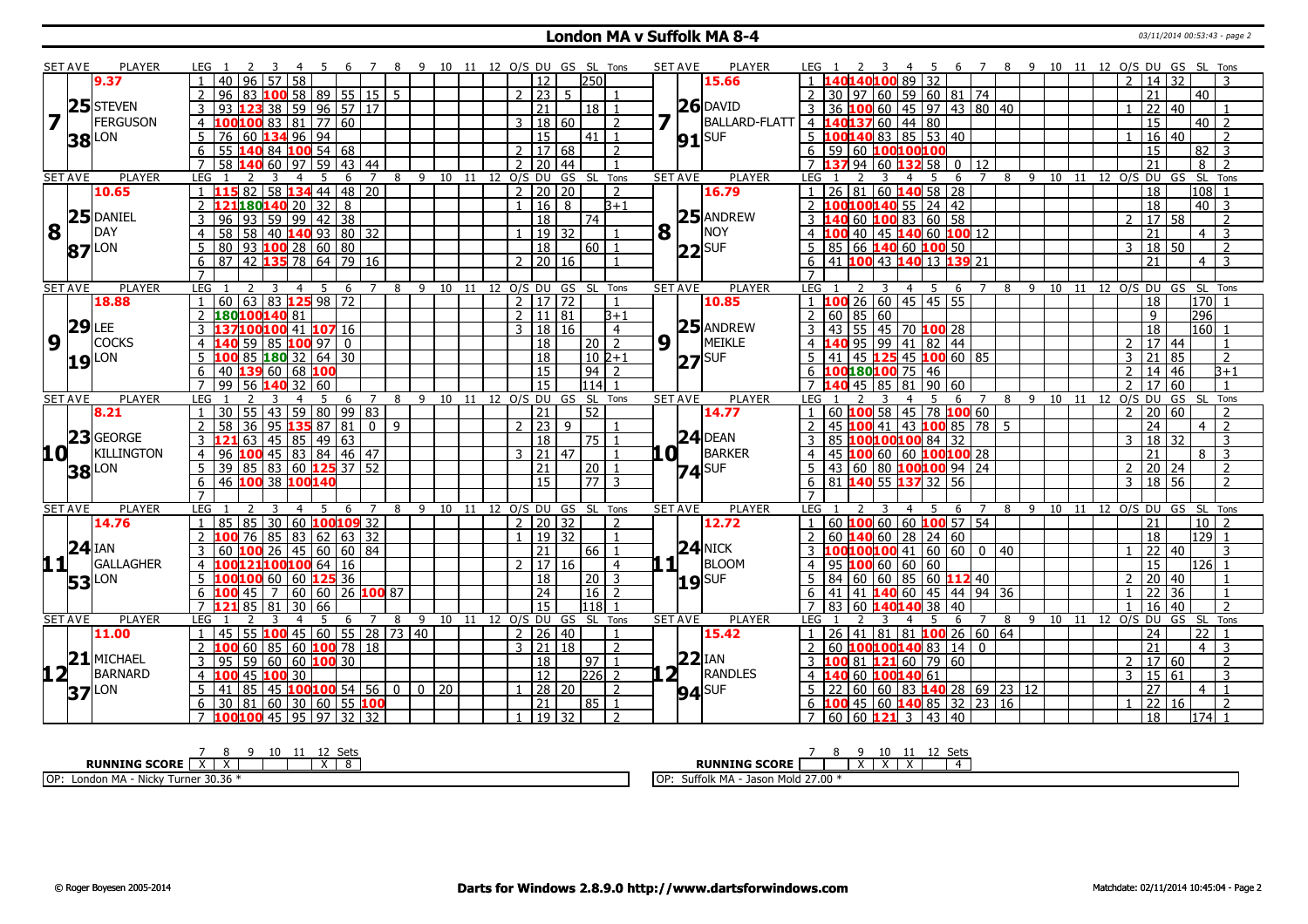#### **London MA v Suffolk MA 8-4** 03/11/2014 00:53:43 - page 2

|                         | <b>SET AVE</b> | <b>PLAYER</b>       | LEG 1                                                                        | 9 10 11 12 O/S DU GS SL Tons      |     |                        |              |                                   |   | <b>SET AVE</b> | <b>PLAYER</b>        | 6 7 8 9 10 11 12 O/S DU GS SL Tons<br>LEG 1<br>-5                                                        |
|-------------------------|----------------|---------------------|------------------------------------------------------------------------------|-----------------------------------|-----|------------------------|--------------|-----------------------------------|---|----------------|----------------------|----------------------------------------------------------------------------------------------------------|
|                         |                | 9.37                | 40<br>96<br>58                                                               |                                   |     | 12                     |              | 250                               |   |                | 15.66                | 89 32<br>  14   32<br>$\overline{2}$                                                                     |
|                         |                |                     | LOO 58   89   55   15   5<br>96                                              |                                   |     | 2 23                   | 5            |                                   |   |                |                      | 21<br>30   97   60   59   60   81   74<br>40                                                             |
|                         | 25             | <b>STEVEN</b>       | 59 96 57 <br>38<br>17                                                        |                                   |     | 21                     |              | 18                                |   |                | $26$ DAVID           | 36 100 60 45 97 43 80 40<br>$\overline{22}$<br>  40                                                      |
| $\overline{\mathbf{z}}$ |                | <b>FERGUSON</b>     | 100 83 81<br> 77 60<br>$\overline{4}$<br>00                                  |                                   |     | 3                      | 18 60        | $\overline{2}$                    |   |                | <b>BALLARD-FLATT</b> | $\overline{15}$<br>40137 60 44 80<br>$40$   2<br>$4 \;   \; 1$                                           |
|                         | 38             | LON                 | $\overline{76}$<br>134 96<br>94<br>5<br>60                                   |                                   |     | $\overline{15}$        |              | $\boxed{41}$ $\boxed{1}$          |   | $91$ $SUF$     |                      | $5\ \ 100\ 140\ 83\ \ 85\ \ 53\ \ 40$<br>$16 \mid 40$<br>2                                               |
|                         |                |                     | 6<br>$\overline{55}$<br>140 84 100 54 68                                     |                                   |     | 2   17   68            |              | $\overline{2}$                    |   |                |                      | 6 59 60 100100100<br>$\overline{15}$<br>82<br>$\overline{3}$                                             |
|                         |                |                     | 59<br>$\overline{7}$<br>58<br>60<br>97<br> 43 <br>44                         |                                   |     | $\overline{2}$<br>20   | 44           | $\overline{1}$                    |   |                |                      | $94 \ 60 \ 132$<br>$\overline{21}$<br>58 l<br>12<br>8<br>7137<br>$\mathbf{0}$<br>$\overline{2}$          |
|                         | <b>SET AVE</b> | PLAYER              | LEG<br>-5<br>7<br>$\overline{4}$<br>6                                        | 8 9 10 11 12 0/S DU               |     |                        |              | GS SL Tons                        |   | <b>SET AVE</b> | <b>PLAYER</b>        | 8 9 10 11 12 0/S DU GS SL Tons<br>LEG<br>7<br>5<br>6                                                     |
|                         |                | 10.65               | $\overline{58}$<br>$134$ 44 48 20<br>$\overline{82}$<br>$\mathbf{1}$         |                                   |     | $\overline{2}$         | 20 20        | $\overline{2}$                    |   |                | 16.79                | $1 \mid 26 \mid 81 \mid 60$ 140 58 28<br> 108 1<br>18                                                    |
|                         |                |                     | 121180140 20 32<br>8<br>$\mathcal{P}$                                        |                                   |     | l 16 l<br>$\mathbf{1}$ | 8            | $3 + 1$                           |   |                |                      | 2 100100140 55 24 42<br>$\overline{18}$<br>$\overline{40}$ 3                                             |
|                         |                | $25$ DANIEL         | 99   42   38<br>$\overline{93}$<br>59<br>3<br>96                             |                                   |     | $\overline{18}$        |              | 74                                |   |                | 25 ANDREW            | $3\overline{140}$ 60 $\overline{100}$ 83 60 58<br>17 58<br>$\mathcal{D}$<br>$\overline{2}$               |
| 8                       |                | DAY                 | 40 140 93 80 32<br>$\overline{4}$<br>58<br>58                                |                                   |     | 19 32                  |              |                                   | 8 |                | NOY                  | $\overline{21}$<br>4 100 40 45 140 60 100 12<br>3<br>$\overline{4}$                                      |
|                         |                | $87$ <sup>LON</sup> | $\sqrt{93}$<br>$100$ 28 60 80<br>5<br>80                                     |                                   |     | $\overline{18}$        |              | 60 <sup>1</sup>                   |   | $ 22 $ SUF     |                      | 85 66 140 60 100 50<br>$18$ 50<br>5<br>3<br>$\overline{2}$                                               |
|                         |                |                     | 42<br><b>135</b> 78 64 79<br>6<br>87<br>16                                   |                                   |     | $\mathcal{P}$          | 20 16        |                                   |   |                |                      | 41 100 43 140 13 139 21<br>21<br>$\overline{4}$<br>6                                                     |
|                         |                |                     | $\overline{7}$                                                               |                                   |     |                        |              |                                   |   |                |                      |                                                                                                          |
|                         | <b>SET AVE</b> | <b>PLAYER</b>       | LEG<br>3<br>$\overline{4}$<br>5<br>6                                         | 8                                 |     | 9 10 11 12 O/S DU GS   |              | <b>SL</b><br>Tons                 |   | <b>SET AVE</b> | <b>PLAYER</b>        | 10 11 12 0/S DU GS SL Tons<br>LEG<br>8<br>9<br>$\overline{4}$<br>- 5<br>6                                |
|                         |                | 18.88               | $\boxed{60}$ $\boxed{63}$ $\boxed{83}$ $\boxed{125}$ 98 $\boxed{72}$         |                                   |     | $\overline{2}$         | 17 72        |                                   |   |                | 10.85                | $1 \vert 100 \vert 26 \vert 60 \vert 45 \vert 45 \vert 55$<br>$\overline{170}$<br>18                     |
|                         |                |                     | 180 <mark>100</mark> 140 81                                                  |                                   |     | 2   11   81            |              | B+1                               |   |                |                      | 2   60   85   60<br>296<br>9                                                                             |
|                         | 29             | LEE                 | 100 41 107 16<br>3                                                           |                                   |     | 3   18   16            |              | $\overline{4}$                    |   |                | $25$ ANDREW          | 3   43   55   45   70   100   28<br>18<br>$ 160 $ 1                                                      |
| $\overline{9}$          |                | <b>COCKS</b>        | 59<br>85<br>100 97<br>$\overline{0}$<br>4                                    |                                   |     | 18                     |              | $\sqrt{20}$ 2                     |   | 9 1            | MEIKLE               | 95 99 41 82 44<br>17 44<br>$\overline{2}$                                                                |
|                         | 19             | <b>LON</b>          | $180$ 32 64 30<br>5<br>85<br>100                                             |                                   |     | 18                     |              | l 10 l2+1                         |   | $ 27 $ SUF     |                      | $5 \mid 41 \mid 45$ 125 45 100 60 85<br>21<br>l 85<br>2<br>3                                             |
|                         |                |                     | $ 60 68 $ 100<br>6<br>40<br>139                                              |                                   |     | 15                     |              | $94$   2                          |   |                |                      | $6 \overline{100}18010075$ 46<br>$\overline{2}$<br>14<br>46<br>B+1                                       |
|                         |                |                     | $\overline{7}$<br>99<br>$140$ 32 60<br>56                                    |                                   |     | 15                     |              | $114$ 1                           |   |                |                      | 7 140 45 85 81 90 60<br>60<br>$\overline{2}$<br>17<br>-1                                                 |
|                         | <b>SET AVE</b> | <b>PLAYER</b>       | <b>LEG</b><br>-5<br>$\overline{7}$<br>$\overline{1}$<br>$\overline{4}$<br>-6 | 9 10 11 12 O/S DU GS SL Tons<br>8 |     |                        |              |                                   |   | <b>SET AVE</b> | <b>PLAYER</b>        | LEG<br>8 9 10 11 12<br>O/S DU<br>GS SL Tons<br>6<br>$\overline{7}$                                       |
|                         |                | 8.21                | 43 59 80<br>$\sqrt{99}$<br>83<br>30 55<br>$\overline{1}$                     |                                   |     | 21                     |              | 52                                |   |                | 14.77                | $1   60   100   58   45   78   100   60$<br>20 60<br>$\overline{2}$<br>$\overline{2}$                    |
|                         |                |                     | $\overline{2}$<br>81<br>58<br>36<br>95<br>135 87<br>$\Omega$                 | $\mathbf{q}$                      |     | 23 <br>$\mathcal{D}$   | $\mathbf{q}$ |                                   |   |                |                      | 45 100 41 43 100 85 78 5<br>24<br>$\overline{z}$<br>$\overline{2}$<br>$\overline{4}$                     |
|                         |                | $23$ GEORGE         | $45 \mid 85 \mid 49$<br>63<br>63                                             |                                   |     | 18                     |              | 75                                |   |                | $24$ DEAN            | 18 32<br>85 100100100 84 32<br>3<br>3                                                                    |
| 10 L                    |                | <b>KILLINGTON</b>   | $45 \ 83 \ 84 \ 46 \ 47$<br>96<br>$\overline{4}$<br>۱M                       |                                   |     | $\mathbf{3}$           | $21$ 47      |                                   |   | .O !           | BARKER               | 21<br>$\overline{3}$<br>45<br>100 60 60 100100 28<br>8<br>$\overline{4}$                                 |
|                         |                | <b>38</b> LON       | 5<br>$\overline{39}$<br>  83   60 <b>125</b> 37   52<br>85                   |                                   |     | 21                     |              | 20                                |   | $74$ SUF       |                      | $ 43 $ 60 80 <b>100100</b> 94 24<br>20 24<br>$\overline{2}$<br>2                                         |
|                         |                |                     | $6 \overline{}$<br>46 100 38 100140                                          |                                   |     | 15                     |              | 177 I<br>$\overline{3}$           |   |                |                      | 6 81 140 55 137 32 56<br>18 56<br>$\overline{3}$<br>$\overline{2}$                                       |
|                         |                |                     | $\overline{7}$                                                               |                                   |     |                        |              |                                   |   |                |                      | $\overline{7}$                                                                                           |
|                         | <b>SET AVE</b> | <b>PLAYER</b>       | LEG<br>6<br>$\overline{7}$                                                   | 8<br>9<br>10                      | -11 | 12 0/S DU              | GS           | SL Tons                           |   | <b>SET AVE</b> | <b>PLAYER</b>        | <b>LEG</b><br>12 O/S DU GS SL Tons<br>8<br>9<br>10<br>11<br>6                                            |
|                         |                | 14.76               | 30<br>85<br>85<br>60<br>100 109 32<br>$\mathbf{1}$                           |                                   |     | $2 \mid 20 \mid 32$    |              | $\overline{2}$                    |   |                | 12.72                | $1   60   100   60   60   100   57   54$<br>$10 \mid 2$<br>21                                            |
|                         |                | $24$ IAN            | $\mathcal{P}$<br>85<br> 83 62 63 32<br>76                                    |                                   |     |                        | 19 32        | $\overline{1}$                    |   |                | $24$ NICK            | 18<br>$129$ 1<br>  60   140   60   28   24   60<br>$\overline{z}$                                        |
|                         |                |                     | 26 45 60 60 84<br>100<br>3<br>60                                             |                                   |     | 21                     |              | 66<br>1                           |   |                |                      | $3 \mid 100100100 \mid 41 \mid 60 \mid 60 \mid 0 \mid 40$<br>$\overline{22}$<br>40<br>$\mathbf{1}$<br>3  |
|                         | 11             | GALLAGHER           | 100121100100 64   16<br>4                                                    |                                   |     | $2 \mid 17 \mid 16$    |              | $\overline{4}$                    |   | $\blacksquare$ | BLOOM                | $4$   95 <b>100</b> 60   60   60<br>15<br>l126l 1                                                        |
|                         | 53             | LON                 | 5<br>160<br>125 36<br>60                                                     |                                   |     | $\overline{18}$        |              | 20 <sup>1</sup><br>$\overline{3}$ |   | $19$ SUF       |                      | 84 60 60 85 60 112 40<br>20<br>$\mathcal{L}$<br>l 40                                                     |
|                         |                |                     | 60<br>  60<br>26 <b>100</b> 87<br>6<br>45<br>$\overline{7}$<br>100           |                                   |     | $\overline{24}$        |              | <sup>16</sup><br>$\overline{2}$   |   |                |                      | 44 94 36<br>$\overline{22}$<br>36<br>$141$ 140 60 $145$<br>6<br> 41                                      |
|                         |                |                     | 85<br>30<br>66<br>81                                                         |                                   |     | $\overline{15}$        |              | l118l                             |   |                |                      | 16<br>$\overline{2}$<br>83<br>38 <sup>1</sup><br>40<br>40<br>60 140140                                   |
|                         | <b>SET AVE</b> | <b>PLAYER</b>       | LEG<br>$\overline{7}$<br>5<br>6<br>$\boldsymbol{4}$                          | 8<br>9                            |     | 10 11 12 0/S DU GS     |              | SL Tons                           |   | <b>SET AVE</b> | <b>PLAYER</b>        | 9<br>10 11 12 0/S DU GS SL<br>8<br>Tons<br>LEG.<br>5<br>6                                                |
|                         |                | 11.00               | 45<br>55<br>$\overline{60}$<br>  55   28   73   40<br>45                     |                                   |     | 2                      | $26 \mid 40$ |                                   |   |                | 15.42                | 81 81 100<br>26   60   64<br>24<br>22<br>26<br>41                                                        |
|                         |                |                     | $\overline{2}$<br>60<br>  85   60<br>100 78<br>  18                          |                                   |     | $3 \mid 21 \mid 18$    |              | 2                                 |   |                |                      | 60 100100140 83 14 0<br>$\overline{21}$<br>$\overline{4}$<br>3                                           |
|                         | 21             | MICHAEL             | 59<br>$ 60 60 $ 100 30<br>3<br>95                                            |                                   |     | $\overline{18}$        |              | 97  <br>$\mathbf{1}$              |   | 22             | <b>IAN</b>           | 3 100 81 121 60 79 60<br>$\boxed{17}$ 60<br>$\overline{2}$<br>$\mathcal{P}$                              |
| 12 L                    |                | <b>BARNARD</b>      | $\overline{45}$<br> 30 <br>100<br>4                                          |                                   |     | 12                     |              | $ 226 $ 2                         |   |                | RANDLES              | 60 100140 61<br>15 61<br>3<br>3<br>$4 \vert 1$                                                           |
|                         |                | $37$ <sup>LON</sup> | 45 100 100 54 56<br>5<br>85<br>41                                            | 0 <sup>1</sup><br>$0 \mid 20$     |     | 28 20                  |              | $\overline{2}$                    |   | $94$ SUF       |                      | $\overline{27}$<br>$5   22   60   60   83   140   28   69   23   12$<br>$\overline{4}$<br>$\overline{1}$ |
|                         |                |                     | 6<br>$ 81\rangle$<br>60<br>$ 30 60 55$ 100<br>30                             |                                   |     | 21                     |              | $85$   1                          |   |                |                      | 6 <b>100</b> 45 60 <b>140</b> 85 32 23 16<br>22<br>16<br>2<br>$\mathbf{1}$                               |
|                         |                |                     | 45   95   97   32  <br>32<br>$\overline{7}$<br>100100                        |                                   |     | 19 32                  |              | $\overline{2}$                    |   |                |                      | $\overline{18}$<br>7 60 60 <b>121</b> 3 43 40<br>$174$ 1                                                 |

| ັບປະ                                                                       | Sets<br>10                                                                                                    |
|----------------------------------------------------------------------------|---------------------------------------------------------------------------------------------------------------|
| <b>RUNNING SCORE</b>                                                       | <b>RUNNING SCORE</b><br>$\ddot{\phantom{1}}$<br>$\ddot{\phantom{1}}$<br>$\lambda$<br>$\overline{\phantom{a}}$ |
| OP:<br>----<br>London MA ·<br>Nickv.<br>Turner<br>-301-36<br>- - - - - - - | 1270<br>suffolk i<br>IOP:<br>k MA<br>ົ Mold 27.0ບ<br>Jason                                                    |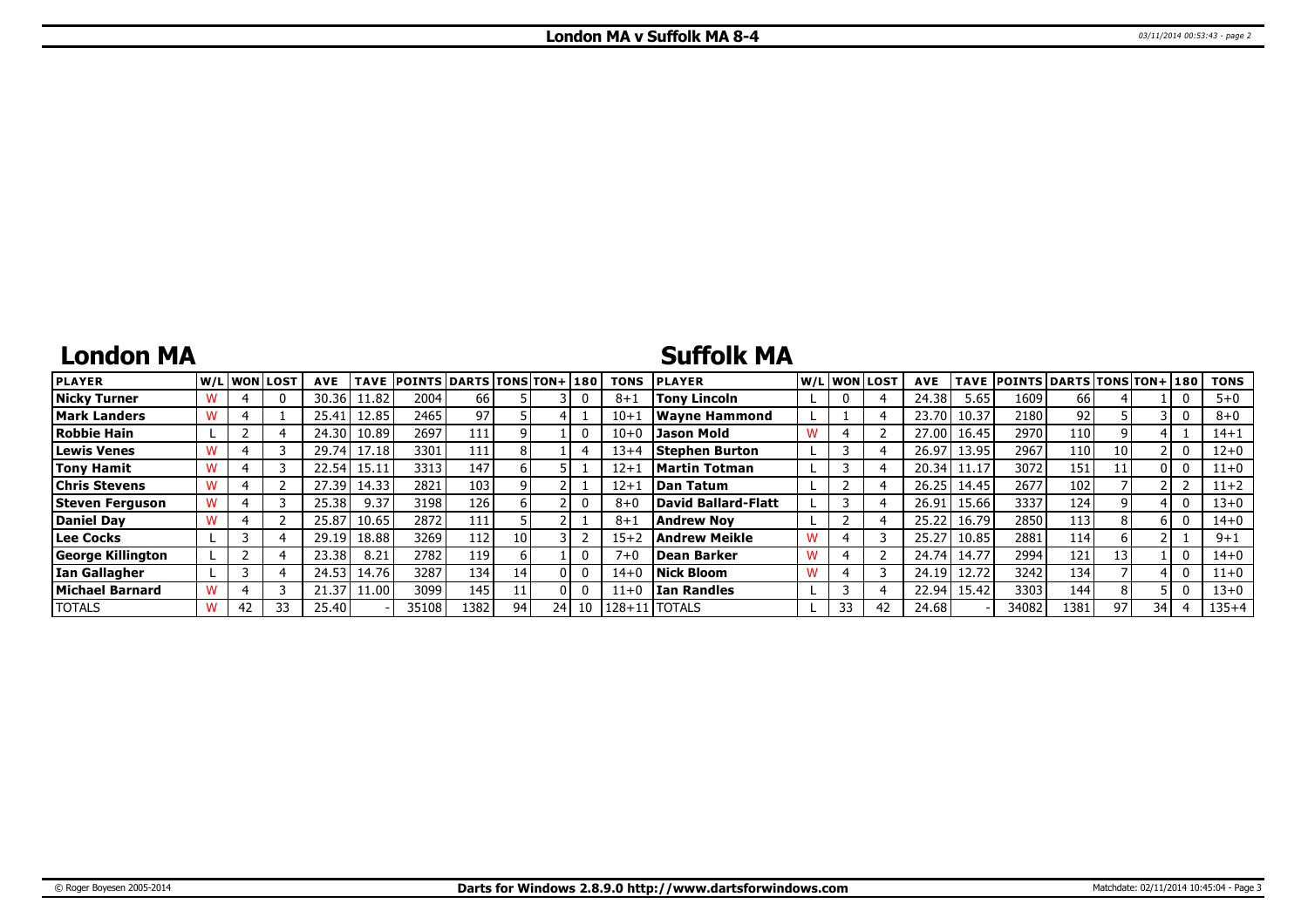## **London MA**

### **Suffolk MA**

| <b>PLAYER</b>        |    | lw/Llwonllost | <b>AVE</b> | TAVE    | <b>POINTS DARTS TONS TON+1180</b> |                  |      |      |    | TONS     | <b>PLAYER</b>              |   |    | W/Liwonilost! | <b>AVE</b> |             | TAVE POINTS DARTS TONS TON+ 180 |      |    |     | <b>TONS</b> |
|----------------------|----|---------------|------------|---------|-----------------------------------|------------------|------|------|----|----------|----------------------------|---|----|---------------|------------|-------------|---------------------------------|------|----|-----|-------------|
| <b>Nicky Turner</b>  |    | 0             | 30.36      | 1.82    | 2004                              | 66 I             |      |      |    | $8 + 1$  | <b>Tony Lincoln</b>        |   |    |               | 24.38      | 5.65        | 1609                            | 66   |    |     | $5 + 0$     |
| <b>Mark Landers</b>  |    |               | 25.41      | 12.85   | 2465                              | 971              |      |      |    | $10 + 1$ | <b>Wavne Hammond</b>       |   |    |               | 23.70      | 10.37       | 2180                            | 92   |    |     | $8 + 0$     |
| <b>Robbie Hain</b>   |    |               | 24.30      | 10.89   | 2697                              | 111              |      |      |    | $10 + 0$ | <b>Jason Mold</b>          |   |    |               |            | 27.00 16.45 | 2970                            | 110  |    |     | $14 + 1$    |
| Lewis Venes          |    |               | 29.74      | 17.18   | 3301                              | 111              |      |      |    | $13+4$   | Stephen Burton             |   |    |               | 26.97      | 13.95       | 2967                            | 110  | 10 |     | $12 + 0$    |
| Tony Hamit           |    |               | 22.54      | 15.11   | 3313                              | 147              |      |      |    | $12 + 1$ | Martin Totman              |   |    |               | 20.34      |             | 3072                            | 151  |    | 0 I | $11+0$      |
| <b>Chris Stevens</b> |    |               | 27.39      | 14.33   | 2821                              | 103              |      |      |    | $12 + 1$ | <b>Dan Tatum</b>           |   |    |               | 26.25      | 14.45       | 2677                            | 102  |    |     | $11+2$      |
| Steven Ferguson      |    |               | 25.38      | 9.37    | 3198                              | 126 <sub>1</sub> |      |      |    | 8+0      | <b>David Ballard-Flatt</b> |   |    |               | 26.91      | 15.66       | 3337                            | 124  |    |     | $13 + 0$    |
| <b>Daniel Dav</b>    |    |               | 25.87      | 10.65   | 2872                              | 111              |      |      |    | $8 + 3$  | <b>Andrew Nov</b>          |   |    |               | 25.22      | 16.79       | 2850                            | 113  |    | 6 I | $14 + 0$    |
| Lee Cocks            |    |               | 29.19      | 18.88   | 3269                              | 112              | 10 I |      |    | $15 + 2$ | <b>Andrew Meikle</b>       | W |    |               | 25.27      | 10.85       | 2881                            | 114  |    |     | $9 + 1$     |
| George Killington    |    |               | 23.38      | 8.21    | 2782                              | 119              |      |      |    | $7 + 6$  | Dean Barker                | W |    |               | 24.74      | 14.77       | 2994                            | 121  | 13 |     | $14 + 0$    |
| Ian Gallagher        |    |               | 24.53      | 14.76   | 3287                              | 134              | 14   | 0 L  |    | $14+$    | Nick Bloom                 | w |    |               | 24.19      | 12.72       | 3242                            | 134  |    |     | $11+0$      |
| Michael Barnard      |    |               | 21.37      | 11.00 l | 3099                              | 145              |      |      |    | 11+0     | <b>Ian Randles</b>         |   |    |               | 22.94      | 15.42       | 3303                            | 144  |    |     | $13 + 0$    |
| <b>TOTALS</b>        | 42 | 33            | 25.40      |         | 35108                             | 1382             | 94   | 24 l | 10 | 128+11   | <b>TOTALS</b>              |   | 33 | 42            | 24.68      |             | 34082                           | 1381 | 97 | 34  | $135 + 4$   |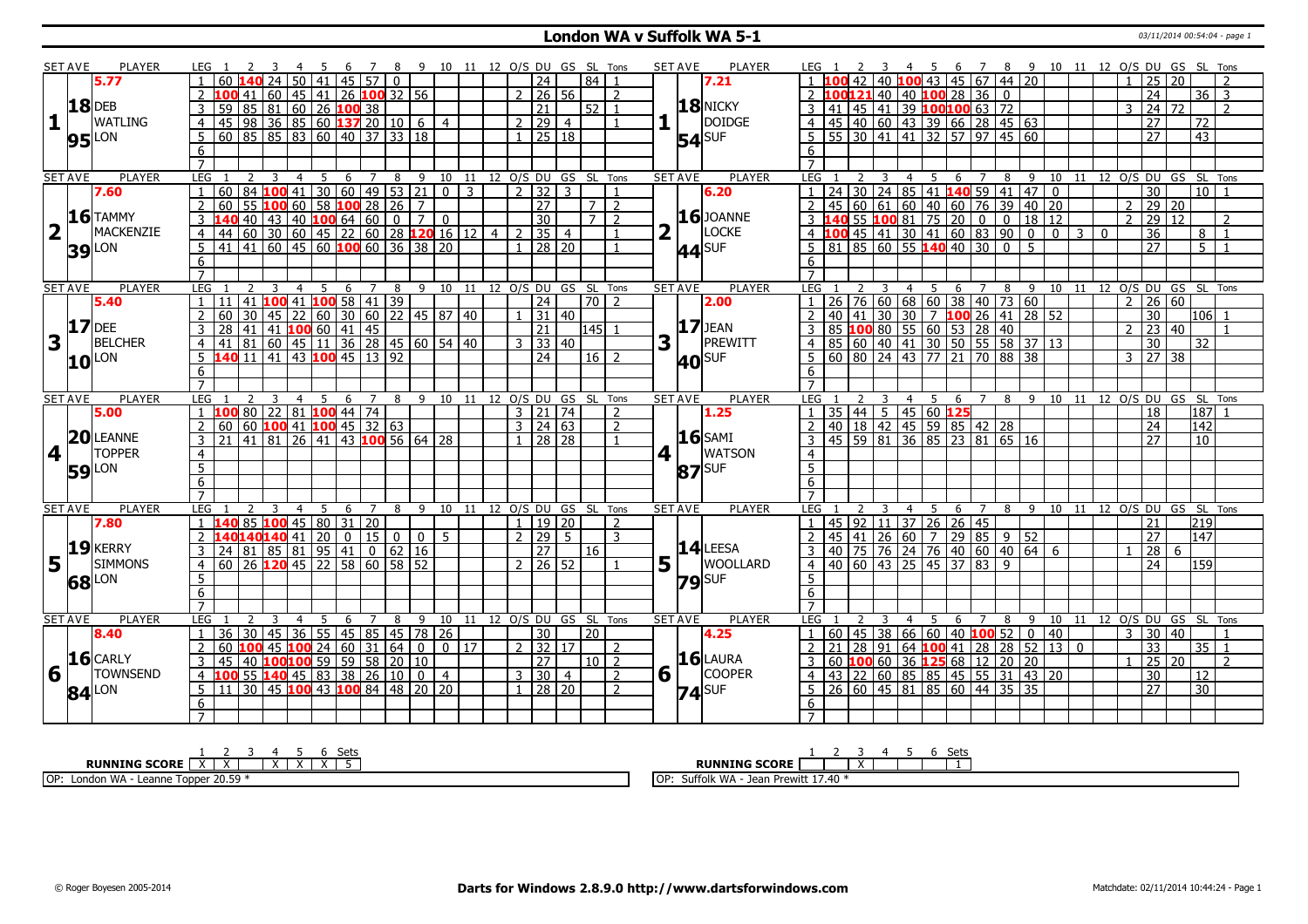### **London WA v Suffolk WA 5-1** 03/11/2014 00:54:04 - page 1

|                 | SET AVE        | PLAYER              | LEG 1                              |                                                                                                                                                                                                                                          |                                         | -5  |    |                            |                 | 8 9 10 11 12 O/S DU GS SL Tons |                            |    |                     |                                  |                |                      |                |   | <b>SET AVE</b> | PLAYER              |                |   |                         |                                |                                                                                        |     |                |    |   |       |    |                |                     | 6 7 8 9 10 11 12 0/S DU GS SL Tons   |                     |                          |
|-----------------|----------------|---------------------|------------------------------------|------------------------------------------------------------------------------------------------------------------------------------------------------------------------------------------------------------------------------------------|-----------------------------------------|-----|----|----------------------------|-----------------|--------------------------------|----------------------------|----|---------------------|----------------------------------|----------------|----------------------|----------------|---|----------------|---------------------|----------------|---|-------------------------|--------------------------------|----------------------------------------------------------------------------------------|-----|----------------|----|---|-------|----|----------------|---------------------|--------------------------------------|---------------------|--------------------------|
|                 |                | 5.77                |                                    |                                                                                                                                                                                                                                          | 24 50 41                                |     |    | 45 57 0                    |                 |                                |                            |    |                     | $\overline{24}$                  |                | $\overline{84}$      |                |   |                | 7.21                |                |   |                         |                                | 40 100 43 45 67 44 20                                                                  |     |                |    |   |       |    |                | 25                  | $\overline{20}$                      |                     |                          |
|                 |                |                     |                                    |                                                                                                                                                                                                                                          |                                         |     |    |                            |                 |                                |                            |    |                     | 2   26   56                      |                |                      | $\overline{2}$ |   |                |                     |                |   |                         |                                | 2 100121 40 40 100 28 36 0                                                             |     |                |    |   |       |    |                | $\overline{24}$     |                                      | $36$ 3              |                          |
|                 |                | <b>18</b> DEB       | 3                                  |                                                                                                                                                                                                                                          |                                         |     |    |                            |                 |                                |                            |    |                     | $\overline{21}$                  |                | $52$   1             |                |   |                | 18 NICKY            |                |   |                         |                                |                                                                                        |     |                |    |   |       |    | 3              | $\overline{24}$     | 72                                   |                     | $\overline{2}$           |
| 1               |                | <b>WATLING</b>      | $\overline{4}$                     | <b>100</b> 41 60 45 41 26 <b>100</b> 32 56<br>59 85 81 60 26 <b>100</b> 38<br>45 98 36 85 60 <b>137</b> 20 10 6                                                                                                                          |                                         |     |    |                            |                 |                                | $\overline{4}$             |    |                     | 2 29                             | $\overline{4}$ |                      |                |   |                | <b>DOIDGE</b>       |                |   |                         |                                |                                                                                        |     |                |    |   |       |    |                | 27                  |                                      | $\overline{72}$     |                          |
|                 |                |                     | -5                                 | 60 85 85 83 60 40 37 33 18                                                                                                                                                                                                               |                                         |     |    |                            |                 |                                |                            |    | $\overline{1}$      | 25 18                            |                |                      |                |   |                |                     |                |   |                         |                                | 5 5 5 30 41 41 32 57 97 45 60                                                          |     |                |    |   |       |    |                | 27                  |                                      | $\overline{43}$     |                          |
|                 |                | $95$ <sup>LON</sup> | 6                                  |                                                                                                                                                                                                                                          |                                         |     |    |                            |                 |                                |                            |    |                     |                                  |                |                      |                |   |                | $54$ <sup>SUF</sup> |                |   |                         |                                |                                                                                        |     |                |    |   |       |    |                |                     |                                      |                     |                          |
|                 |                |                     | $\overline{7}$                     |                                                                                                                                                                                                                                          |                                         |     |    |                            |                 |                                |                            |    |                     |                                  |                |                      |                |   |                |                     |                |   |                         |                                |                                                                                        |     |                |    |   |       |    |                |                     |                                      |                     |                          |
|                 | <b>SET AVE</b> | <b>PLAYER</b>       | LEG <sub>1</sub>                   |                                                                                                                                                                                                                                          |                                         |     |    |                            |                 |                                |                            |    |                     |                                  |                |                      |                |   | <b>SET AVE</b> | <b>PLAYER</b>       | LEG 1          | 2 | $\overline{\mathbf{3}}$ | $\overline{4}$                 |                                                                                        |     |                |    |   |       |    |                |                     | 5 6 7 8 9 10 11 12 O/S DU GS SL Tons |                     |                          |
|                 |                | 7.60                |                                    | 1 2 3 4 5 6 7 8 9 10 11 12 0/5 DU GS SL Tons<br>160 84 100 41 30 60 49 53 21 0 3 2 32 3 1<br>160 55 100 60 58 100 28 26 7<br>140 40 43 40 100 64 60 0 7 0 30 7 2<br>144 60 30 60 45 22 60 28 120 16 12 4 2 35 4 1<br>141 41 60 45 60 100 |                                         |     |    |                            |                 |                                |                            |    |                     |                                  |                |                      |                |   |                | 6.20                |                |   |                         |                                | 1 24 30 24 85 41 140 59 41 47 0                                                        |     |                |    |   |       |    |                | $\overline{30}$     |                                      | $10$   1            |                          |
|                 |                |                     | 2                                  |                                                                                                                                                                                                                                          |                                         |     |    |                            |                 |                                |                            |    |                     |                                  |                |                      |                |   |                |                     |                |   |                         |                                | $2   45   60   61   60   40   60   76   39   40   20$                                  |     |                |    |   |       |    | $\overline{2}$ | $29$ 20             |                                      |                     |                          |
|                 |                | $16$ TAMMY          | $\overline{3}$                     |                                                                                                                                                                                                                                          |                                         |     |    |                            |                 |                                |                            |    |                     |                                  |                |                      |                |   |                | $16$ JOANNE         |                |   |                         |                                |                                                                                        |     |                |    |   |       |    | $\overline{2}$ | $\overline{29}$     | $\overline{12}$                      |                     | $\overline{\phantom{0}}$ |
|                 |                | MACKENZIE           |                                    |                                                                                                                                                                                                                                          |                                         |     |    |                            |                 |                                |                            |    |                     |                                  |                |                      |                | 2 |                | LOCKE               |                |   |                         |                                |                                                                                        |     |                |    |   | 0 3 0 |    |                |                     |                                      |                     |                          |
|                 |                |                     | 4                                  |                                                                                                                                                                                                                                          |                                         |     |    |                            |                 |                                |                            |    |                     |                                  |                |                      |                |   |                |                     |                |   |                         |                                |                                                                                        |     |                |    |   |       |    |                | 36                  |                                      | 8<br>$\overline{5}$ |                          |
|                 |                | <b>39</b> LON       | 5                                  |                                                                                                                                                                                                                                          |                                         |     |    |                            |                 |                                |                            |    |                     |                                  |                |                      |                |   |                | $44$ SUF            |                |   |                         |                                |                                                                                        |     |                |    |   |       |    |                | 27                  |                                      |                     |                          |
|                 |                |                     | 6                                  |                                                                                                                                                                                                                                          |                                         |     |    |                            |                 |                                |                            |    |                     |                                  |                |                      |                |   |                |                     | 6              |   |                         |                                |                                                                                        |     |                |    |   |       |    |                |                     |                                      |                     |                          |
|                 | <b>SET AVE</b> | <b>PLAYER</b>       | $\overline{7}$<br>LEG <sub>1</sub> |                                                                                                                                                                                                                                          | 3<br>$\overline{4}$                     | - 5 |    | $\overline{7}$             | 8               | 9                              | 10 11 12 O/S DU GS SL Tons |    |                     |                                  |                |                      |                |   | <b>SET AVE</b> | <b>PLAYER</b>       | LEG            |   |                         |                                |                                                                                        |     |                |    |   |       |    |                |                     | 8 9 10 11 12 0/S DU GS SL Tons       |                     |                          |
|                 |                | 5.40                | 11                                 |                                                                                                                                                                                                                                          | 41   100   41   100   58   41   39      |     | 6  |                            |                 |                                |                            |    |                     | 24                               |                | $\overline{70}$   2  |                |   |                | 2.00                |                |   |                         |                                | 4 5 6 7<br>$1 \mid 26 \mid 76 \mid 60 \mid 68 \mid 60 \mid 38 \mid 40 \mid 73 \mid 60$ |     |                |    |   |       |    | $\mathcal{P}$  | 26 60               |                                      |                     |                          |
|                 |                |                     | 2                                  |                                                                                                                                                                                                                                          |                                         |     |    |                            |                 |                                |                            |    |                     | 31 40                            |                |                      |                |   |                |                     |                |   |                         |                                | 2 40 41 30 30 7 100 26 41 28 52                                                        |     |                |    |   |       |    |                | $\overline{30}$     |                                      | 1106 1              |                          |
|                 |                | $17$ DEE            | -3                                 | 160 30 45 22 60 30 60 22 45 87 40<br>28 41 41 <b>100</b> 60 41 45<br>41 81 60 45 11 36 28 45 60 54 40<br><b>140</b> 11 41 43 <b>100</b> 45 13 92                                                                                         |                                         |     |    |                            |                 |                                |                            |    |                     | $\overline{21}$                  |                | $\sqrt{145}$ 1       |                |   |                | $17$ JEAN           |                |   |                         |                                |                                                                                        |     |                |    |   |       |    | $\mathcal{P}$  | $\overline{23}$     | 40                                   |                     |                          |
| 3               |                | <b>BELCHER</b>      | $\overline{4}$                     |                                                                                                                                                                                                                                          |                                         |     |    |                            |                 |                                |                            |    |                     | $3 \overline{)33 \overline{)40}$ |                |                      |                | 3 |                | PREWITT             |                |   |                         |                                |                                                                                        |     |                |    |   |       |    |                | $\overline{30}$     |                                      | 32                  |                          |
|                 |                |                     | $5^{\circ}$                        |                                                                                                                                                                                                                                          |                                         |     |    |                            |                 |                                |                            |    |                     | $\overline{24}$                  |                | $16$   2             |                |   |                |                     |                |   |                         |                                |                                                                                        |     |                |    |   |       |    |                | $3 \mid 27 \mid 38$ |                                      |                     |                          |
|                 |                | 10 LON              |                                    |                                                                                                                                                                                                                                          |                                         |     |    |                            |                 |                                |                            |    |                     |                                  |                |                      |                |   |                | <b>40</b> SUF       | 6              |   |                         |                                |                                                                                        |     |                |    |   |       |    |                |                     |                                      |                     |                          |
|                 |                |                     | 6                                  |                                                                                                                                                                                                                                          |                                         |     |    |                            |                 |                                |                            |    |                     |                                  |                |                      |                |   |                |                     |                |   |                         |                                |                                                                                        |     |                |    |   |       |    |                |                     |                                      |                     |                          |
|                 | <b>SET AVE</b> | <b>PLAYER</b>       | LEG                                |                                                                                                                                                                                                                                          | $\overline{4}$                          | 5   | 6  | $\overline{7}$             |                 | 8 9 10 11                      |                            |    |                     |                                  |                | 12 O/S DU GS SL Tons |                |   | <b>SET AVE</b> | <b>PLAYER</b>       | LEG            |   |                         | $\overline{4}$                 | 5                                                                                      | 6   |                | 8  | 9 |       |    |                |                     | 10 11 12 0/S DU GS SL                |                     | Tons                     |
|                 |                | 5.00                |                                    |                                                                                                                                                                                                                                          | 80   22   81   <mark>100</mark> 44   74 |     |    |                            |                 |                                |                            |    |                     | $3 \mid 21 \mid 74$              |                |                      | 2              |   |                | 1.25                |                |   |                         |                                |                                                                                        |     |                |    |   |       |    |                | 18                  |                                      | 187                 |                          |
|                 |                |                     | $\overline{2}$                     | $60\,$ 60 <b>100</b> 41 <b>100</b> 45 32 63                                                                                                                                                                                              |                                         |     |    |                            |                 |                                |                            |    |                     | $3 \mid 24 \mid 63$              |                |                      | $\overline{2}$ |   |                |                     | $\overline{2}$ |   |                         |                                | 35 44 5 45 60 125<br>40 18 42 45 59 85 42 28                                           |     |                |    |   |       |    |                | $\overline{24}$     |                                      | $\sqrt{142}$        |                          |
|                 |                | <b>20 LEANNE</b>    | 3<br>21                            | $\boxed{41}$ $\boxed{81}$ $\boxed{26}$ $\boxed{41}$ $\boxed{43}$ <b>100</b> 56 $\boxed{64}$ $\boxed{28}$                                                                                                                                 |                                         |     |    |                            |                 |                                |                            |    |                     | $1 \overline{28}$ 28             |                |                      |                |   |                | $16$ SAMI           |                |   |                         |                                | $\overline{3}$ 45 59 81 36 85 23 81 65 16                                              |     |                |    |   |       |    |                | 27                  |                                      | 10                  |                          |
| $\vert 4 \vert$ |                | <b>TOPPER</b>       | $\overline{4}$                     |                                                                                                                                                                                                                                          |                                         |     |    |                            |                 |                                |                            |    |                     |                                  |                |                      |                | 4 |                | <b>WATSON</b>       | $\overline{4}$ |   |                         |                                |                                                                                        |     |                |    |   |       |    |                |                     |                                      |                     |                          |
|                 |                |                     | 5                                  |                                                                                                                                                                                                                                          |                                         |     |    |                            |                 |                                |                            |    |                     |                                  |                |                      |                |   |                | $ 87 $ SUF          | $\overline{5}$ |   |                         |                                |                                                                                        |     |                |    |   |       |    |                |                     |                                      |                     |                          |
|                 |                | <b>59</b> LON       | $6\overline{6}$                    |                                                                                                                                                                                                                                          |                                         |     |    |                            |                 |                                |                            |    |                     |                                  |                |                      |                |   |                |                     | 6              |   |                         |                                |                                                                                        |     |                |    |   |       |    |                |                     |                                      |                     |                          |
|                 |                |                     | $\overline{7}$                     |                                                                                                                                                                                                                                          |                                         |     |    |                            |                 |                                |                            |    |                     |                                  |                |                      |                |   |                |                     | $\overline{7}$ |   |                         |                                |                                                                                        |     |                |    |   |       |    |                |                     |                                      |                     |                          |
|                 | <b>SET AVE</b> | PLAYER              | LEG                                | 2                                                                                                                                                                                                                                        | -3<br>$\overline{4}$                    | - 5 | -6 | $\overline{7}$             | 8               | 9                              | 10                         | 11 |                     |                                  |                | 12 O/S DU GS SL Tons |                |   | <b>SET AVE</b> | <b>PLAYER</b>       | LEG            |   |                         | $\overline{4}$                 | 5                                                                                      | - 6 | 7              | 89 |   |       |    |                |                     | 10 11 12 O/S DU GS SL Tons           |                     |                          |
|                 |                | 7.80                |                                    |                                                                                                                                                                                                                                          | 85 100 45 80 31 20                      |     |    |                            |                 |                                |                            |    |                     | 1   19   20                      |                |                      | 2              |   |                |                     |                |   |                         |                                | 1 45 92 11 37 26 26 45                                                                 |     |                |    |   |       |    |                | $\overline{21}$     |                                      | 219                 |                          |
|                 |                |                     | 2 140140140 41 20                  |                                                                                                                                                                                                                                          |                                         |     |    | $\boxed{0}$ 15 $\boxed{0}$ |                 | $\overline{\bullet}$           | 5 <sup>5</sup>             |    |                     | 2 29                             | 5 <sup>1</sup> |                      | $\overline{3}$ |   |                |                     |                |   |                         |                                | $\overline{2}$ 45 41 26 60 7 29 85 9 52                                                |     |                |    |   |       |    |                | $\overline{27}$     |                                      | $\overline{147}$    |                          |
|                 |                | 19 KERRY            | 3                                  | 24 81 85 81 95 41                                                                                                                                                                                                                        |                                         |     |    |                            | $0 \t 62 \t 16$ |                                |                            |    |                     | $\overline{27}$                  |                | 16                   |                |   |                | $14$ LEESA          |                |   |                         |                                | $3  40   75   76   24   76   40   60   40   64   6$                                    |     |                |    |   |       |    |                | 28                  | 6                                    |                     |                          |
|                 | $5^{\circ}$    | <b>SIMMONS</b>      | $\overline{4}$                     | $60$   26 <b>120</b> 45   22   58   60   58   52                                                                                                                                                                                         |                                         |     |    |                            |                 |                                |                            |    |                     | $2 \mid 26 \mid 52$              |                |                      |                | 5 |                | <b>WOOLLARD</b>     |                |   |                         |                                | $4   40   60   43   25   45   37   83   9$                                             |     |                |    |   |       |    |                | 24                  |                                      | 159                 |                          |
|                 |                | 68 LON              | 5                                  |                                                                                                                                                                                                                                          |                                         |     |    |                            |                 |                                |                            |    |                     |                                  |                |                      |                |   |                | $79$ SUF            | 5              |   |                         |                                |                                                                                        |     |                |    |   |       |    |                |                     |                                      |                     |                          |
|                 |                |                     | 6                                  |                                                                                                                                                                                                                                          |                                         |     |    |                            |                 |                                |                            |    |                     |                                  |                |                      |                |   |                |                     | 6              |   |                         |                                |                                                                                        |     |                |    |   |       |    |                |                     |                                      |                     |                          |
|                 |                |                     | $\overline{7}$                     |                                                                                                                                                                                                                                          |                                         |     |    |                            |                 |                                |                            |    |                     |                                  |                |                      |                |   |                |                     |                |   |                         |                                |                                                                                        |     |                |    |   |       |    |                |                     |                                      |                     |                          |
|                 | <b>SET AVE</b> | PLAYER              | LEG                                |                                                                                                                                                                                                                                          |                                         | 5.  | 6  | 7                          | 8               | 9                              | 10                         | 11 |                     |                                  |                | 12 O/S DU GS SL Tons |                |   | <b>SET AVE</b> | <b>PLAYER</b>       | LEG            |   |                         |                                | .5                                                                                     | 6   | $\overline{7}$ | 8  | 9 | 10    | 11 |                |                     | 12 O/S DU GS SL Tons                 |                     |                          |
|                 |                | 8.40                | $\overline{36}$<br>$\mathbf{1}$    |                                                                                                                                                                                                                                          | 30 45 36 55 45 85 45 78 26              |     |    |                            |                 |                                |                            |    |                     | $\overline{30}$                  |                | 20                   |                |   |                | 4.25                |                |   |                         |                                | $1   60   45   38   66   60   40$ <b>100</b> 52 0 40                                   |     |                |    |   |       |    | $\mathbf{3}$   | 30 40               |                                      |                     |                          |
|                 |                |                     | 2<br>60                            |                                                                                                                                                                                                                                          | 100 45 100 24 60                        |     |    | 31                         | $\sqrt{64}$     | $\overline{0}$                 | $0$   17                   |    |                     | $2 \times 32 \times 17$          |                |                      | 2              |   |                |                     |                |   |                         |                                | 2 21 28 91 64 <b>100</b> 41 28 28 52 13 0                                              |     |                |    |   |       |    |                | 33                  |                                      | 35 1                |                          |
|                 |                |                     |                                    |                                                                                                                                                                                                                                          |                                         |     |    |                            |                 |                                |                            |    |                     | $\overline{27}$                  |                | $10\overline{2}$     |                |   |                | $16$ LAURA          |                |   |                         | 3 60 100 60 36 125 68 12 20 20 |                                                                                        |     |                |    |   |       |    | $\mathbf{1}$   | 25                  | $\overline{20}$                      |                     | $\overline{2}$           |
|                 |                | $16$ CARLY          | $\overline{3}$                     |                                                                                                                                                                                                                                          |                                         |     |    |                            |                 |                                |                            |    |                     |                                  |                |                      |                |   |                |                     |                |   |                         |                                |                                                                                        |     |                |    |   |       |    |                |                     |                                      |                     |                          |
| 6               |                | <b>TOWNSEND</b>     | $\overline{4}$                     |                                                                                                                                                                                                                                          |                                         |     |    |                            |                 | $\boxed{0}$                    | $\overline{4}$             |    |                     | $3 \mid 30 \mid$                 | $\overline{4}$ |                      | $\overline{2}$ | 6 |                | COOPER              |                |   |                         |                                | 4 43 22 60 85 85 45 55 31 43 20                                                        |     |                |    |   |       |    |                | $\overline{30}$     |                                      | $\overline{12}$     |                          |
|                 |                |                     | $\overline{5}$                     | 45 40 <b>100 100</b> 59 59 58 20 10<br><b>100</b> 55 <b>140</b> 45 83 38 26 10 0<br>11 30 45 100 43 100 84 48 20 20                                                                                                                      |                                         |     |    |                            |                 |                                |                            |    | $1 \mid 28 \mid 20$ |                                  |                |                      | $\overline{2}$ |   |                |                     |                |   |                         |                                | $\overline{5}$ 26 60 45 81 85 60 44 35 35                                              |     |                |    |   |       |    |                | $\overline{27}$     |                                      | $\overline{30}$     |                          |
|                 |                | $84^{\text{LON}}$   | 6                                  |                                                                                                                                                                                                                                          |                                         |     |    |                            |                 |                                |                            |    |                     |                                  |                |                      |                |   |                | $74$ SUF            |                |   |                         |                                |                                                                                        |     |                |    |   |       |    |                |                     |                                      |                     |                          |

| <b>RUNNING SCORE</b>                                              | ັບປະ<br><b>RUNNING SCORE</b>                                   |
|-------------------------------------------------------------------|----------------------------------------------------------------|
| 20.59<br>IOP:<br>ו WA<br>Topper<br>` - Leann∈<br>London<br>ر ر. ب | $\Delta$ 0<br>Suffolk WA<br>$\sim$<br>l OF<br>Prewitt<br>Jear, |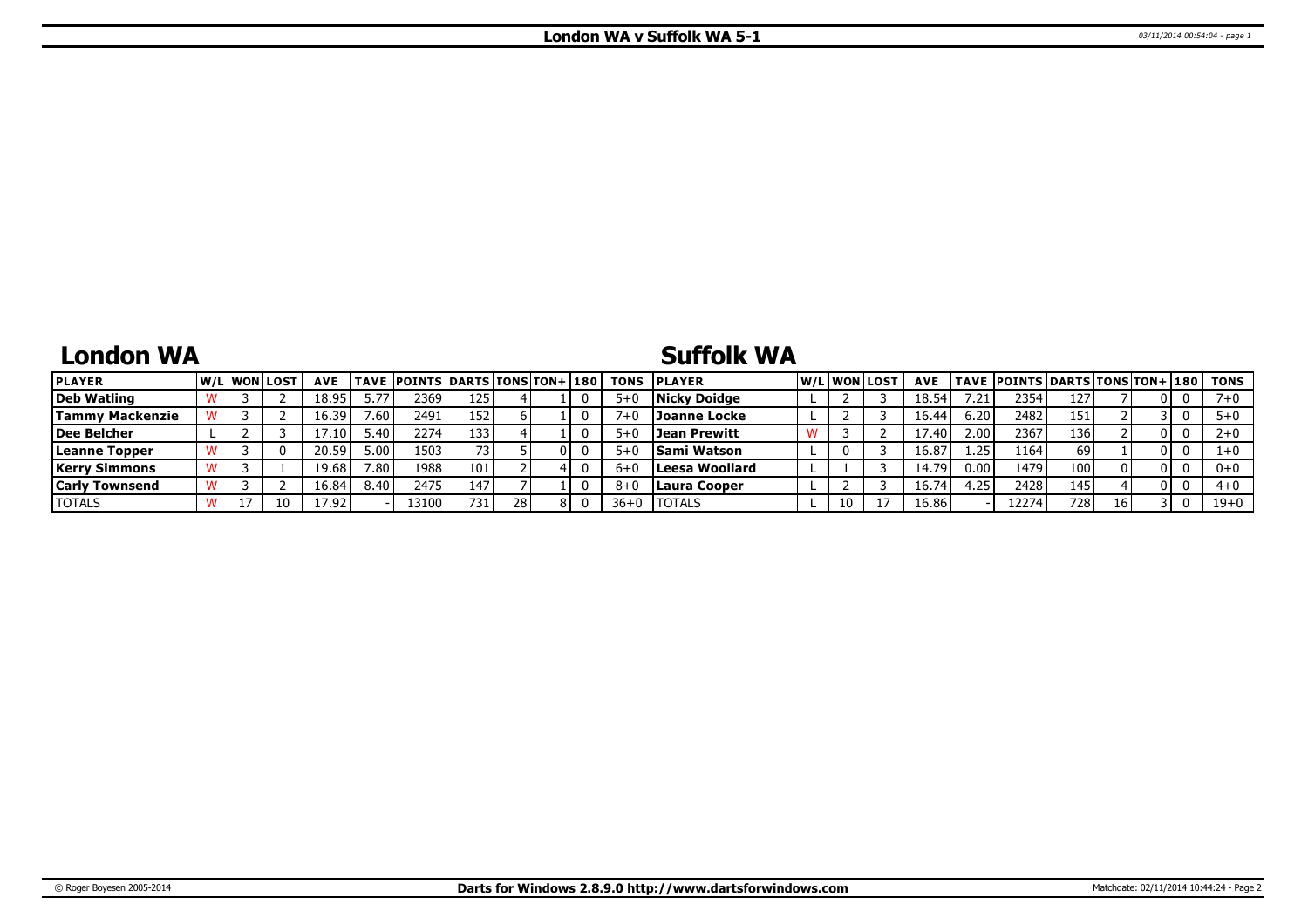## **London WA**

## **Suffolk WA**

| <b>PLAYER</b>          | W/Liwonilost |    | <b>AVE</b>    |                   | TAVE POINTS DARTS TONS TON+ 180 |      |    |  |        | <b>TONS PLAYER</b> |    | lw/Llwonllost | <b>AVE</b> |      | TAVE   POINTS   DARTS   TONS   TON+   180 |      |    |   |          | TONS     |
|------------------------|--------------|----|---------------|-------------------|---------------------------------|------|----|--|--------|--------------------|----|---------------|------------|------|-------------------------------------------|------|----|---|----------|----------|
| Deb Watling            |              |    | 18.95         | 5.77              | 2369                            | 125  |    |  |        | Nicky Doidge       |    |               | 18.54      | .21  | 2354                                      | 127  |    |   |          | 7+0      |
| <b>Tammy Mackenzie</b> |              |    | 16.39         | 7.60 <sub>1</sub> | 2491                            | 152  |    |  |        | Joanne Locke       |    |               | 16.44      | 6.20 | 2482                                      | 151  |    |   |          | $5 + 0$  |
| Dee Belcher            |              |    | $.10^{\circ}$ | '40.د             | 2274                            | 133  |    |  | $5+1$  | Jean Prewitt       |    |               | 17.40      | 2.00 | 2367                                      | 136  |    |   |          | $2+0$    |
| Leanne Topper          |              |    | 20.59'        | 5.00              | 1503                            |      |    |  |        | <b>Sami Watson</b> |    |               | 16.87      | 1.25 | 1164                                      | 69   |    |   |          | $1+0$    |
| <b>Kerry Simmons</b>   |              |    | 19.68         | 7.80.             | 1988                            | 101  |    |  |        | Leesa Woollard     |    |               | 14.79      | 0.00 | 1479                                      | 100  |    |   |          | $0+0$    |
| <b>Carly Townsend</b>  |              |    | 16.84         | 8.40'             | 2475                            | 147  |    |  |        | Laura Cooper       |    |               | 16.74      | 4.25 | 2428                                      | 145  |    | 0 |          | $4 + 0$  |
| <b>TOTALS</b>          |              | 10 | 17.92         |                   | ا13100                          | 731. | 28 |  | $36+0$ | <b>ITOTALS</b>     | 10 |               | 16.86      |      | 12274                                     | 7281 | 16 |   | $\Omega$ | $19 + 0$ |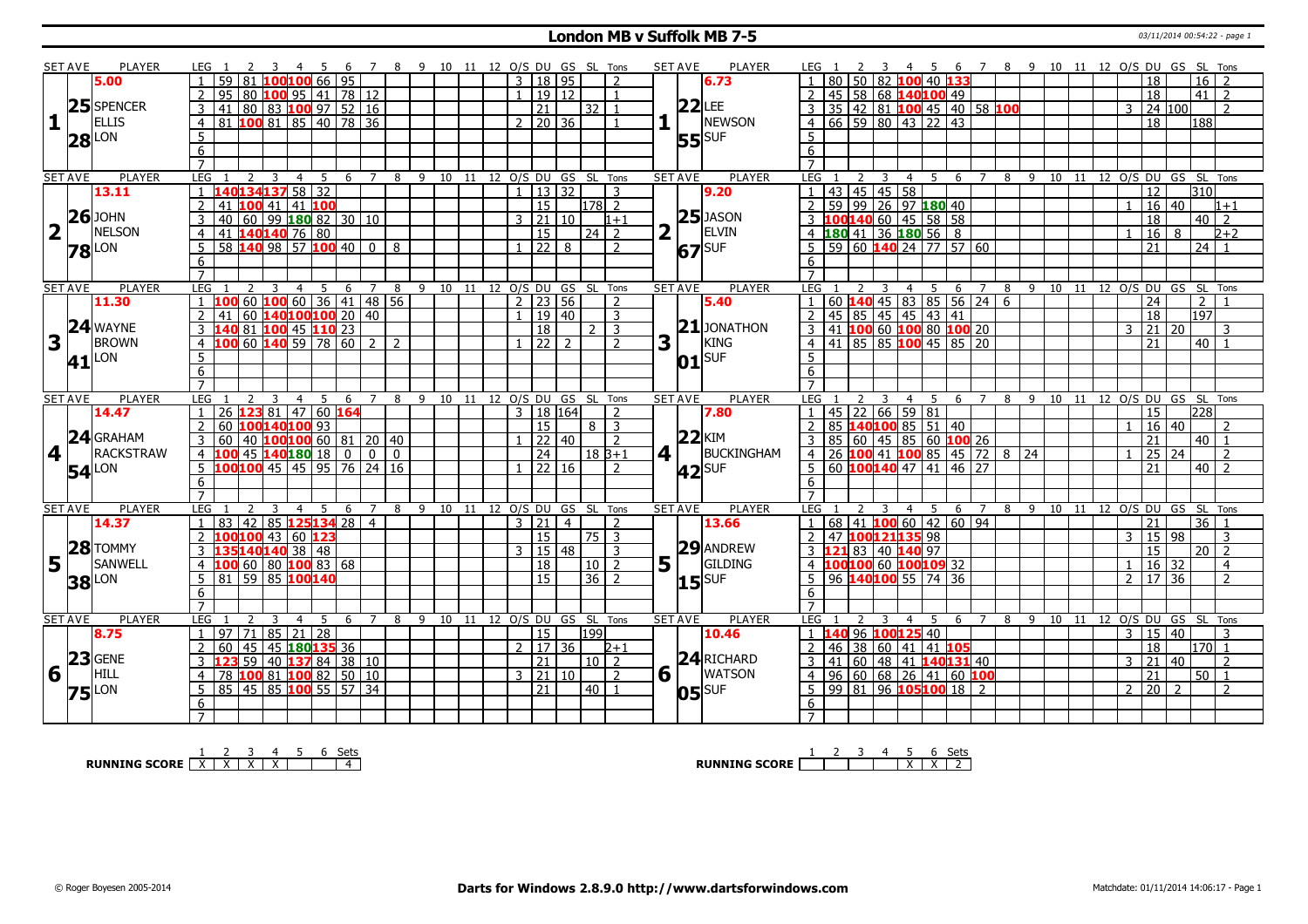#### **London MB v Suffolk MB 7-5** 03/11/2014 00:54:22 - page 1

|                         | SET AVE        | <b>PLAYER</b>     | LEG 1<br>456                                                          | 78                                 | 9 10 11 12 O/S DU GS SL Tons |  |                       |                |                    |                          | <b>SET AVE</b>         | <b>PLAYER</b>       | 6 7 8 9 10 11 12 O/S DU GS SL Tons<br>LEG 1<br>- 45                                          |
|-------------------------|----------------|-------------------|-----------------------------------------------------------------------|------------------------------------|------------------------------|--|-----------------------|----------------|--------------------|--------------------------|------------------------|---------------------|----------------------------------------------------------------------------------------------|
|                         |                | 5.00              | $100100$ 66   95<br>59 81                                             |                                    |                              |  | 3   18   95           |                |                    | $\overline{\phantom{a}}$ |                        | 6.73                | 50 82 100 40 1<br>$16$   2<br>18                                                             |
|                         |                |                   | 80   <b>100</b>   95   41   78   12<br>95                             |                                    |                              |  |                       | 19 12          |                    |                          |                        |                     | 45 58 68 140100 49<br>41<br>18<br>-2                                                         |
|                         |                | 25 SPENCER        | 80 83 100 97 52 16<br>3<br>41                                         |                                    |                              |  | 21                    |                | 32                 | $\overline{1}$           |                        | $22$ LEE            | 3 35 42 81 100 45 40 58 100<br>24 100<br>3<br>$\mathcal{P}$                                  |
| $\mathbf{1}$            |                | <b>ELLIS</b>      | 81 100 81 85 40 78 36<br>$\overline{4}$                               |                                    |                              |  | $2 \mid 20 \mid 36$   |                |                    |                          |                        | NEWSON              | $4 \ 66 \ 59 \ 80 \ 43 \ 22 \ 43$<br>188<br>18                                               |
|                         |                |                   | 5                                                                     |                                    |                              |  |                       |                |                    |                          |                        |                     | 5 <sup>5</sup>                                                                               |
|                         |                | $28$ LON          |                                                                       |                                    |                              |  |                       |                |                    |                          |                        | <b>55</b> SUF       |                                                                                              |
|                         |                |                   | 6                                                                     |                                    |                              |  |                       |                |                    |                          |                        |                     | 6                                                                                            |
|                         |                |                   | $\overline{7}$                                                        |                                    |                              |  |                       |                |                    |                          |                        |                     | $\overline{7}$                                                                               |
|                         | <b>SET AVE</b> | <b>PLAYER</b>     | LEG<br>2<br>$\overline{4}$<br>5<br>-3                                 | 6 7 8 9 10 11 12 0/S DU GS SL Tons |                              |  |                       |                |                    |                          | <b>SET AVE</b>         | <b>PLAYER</b>       | <b>LEG</b><br>4 5 6 7 8 9 10 11 12 O/S DU GS SL Tons<br>2<br>3                               |
|                         |                | 13.11             | 140134137 58 32<br>$\mathbf{1}$                                       |                                    |                              |  | 13 32<br>$\mathbf{1}$ |                |                    | 3                        |                        | 9.20                | 1  43  45  45  58<br>310<br>$\overline{12}$                                                  |
|                         |                |                   | $\overline{2}$<br>$100$ 41 41 100<br>41                               |                                    |                              |  | $\overline{15}$       |                | $ 178 $ 2          |                          |                        |                     | 2 59 99 26 97 180 40<br>$16 \ 40$<br>$\mathbf{1}$<br>$1 + 1$                                 |
|                         |                | $26$ JOHN         | 3<br>40                                                               |                                    |                              |  | 3   21   10           |                |                    | $1 + 1$                  |                        | $25$ JASON          | 3 100140 60 45 58 58<br>18<br>$40\vert\overline{2}$                                          |
| $\overline{\mathbf{2}}$ | $\mathbf{I}$   | NELSON            | 41 140140 76 80<br>4                                                  |                                    |                              |  | $\overline{15}$       |                | l 24 l             | $\overline{2}$           | $\overline{2}$         | ELVIN               | 4 180 41 36 180 56 8<br>16<br>$2+2$<br>8                                                     |
|                         |                | <b>78</b> LON     | 58 140 98 57 100 40 0<br>5                                            | 8                                  |                              |  | $\sqrt{22}$ 8         |                |                    | $\overline{2}$           |                        | 67 SUF              | $5$ 59 60 140 24 77 57 60<br>21<br>24                                                        |
|                         |                |                   | 6                                                                     |                                    |                              |  |                       |                |                    |                          |                        |                     | 6                                                                                            |
|                         |                |                   | $\overline{7}$                                                        |                                    |                              |  |                       |                |                    |                          |                        |                     | $\overline{7}$                                                                               |
|                         | <b>SET AVE</b> | <b>PLAYER</b>     | LEG<br>3<br>$\overline{4}$<br>5<br>6                                  | $\overline{7}$<br>8                | 9 10 11 12 O/S DU GS SL Tons |  |                       |                |                    |                          | <b>SET AVE</b>         | <b>PLAYER</b>       | 12 O/S DU GS SL Tons<br>LEG<br>5<br>6<br>$\overline{7}$<br>8<br>9 10<br>11<br>$\overline{4}$ |
|                         |                | 11.30             | $60$ 100 60<br>00                                                     | 36 41 48 56                        |                              |  | $2 \mid 23 \mid 56$   |                |                    | $\overline{2}$           |                        | 5.40                | 60   <b>140</b>   45   83   85   56   24   6<br>24<br>$\overline{2}$<br>$\overline{1}$       |
|                         |                |                   | 60 $140100100$ 20 40<br>$\overline{2}$<br>41                          |                                    |                              |  |                       | 19 40          |                    | 3                        |                        |                     | $\overline{197}$<br>2   45   85   45   45   43   41<br>18                                    |
|                         |                | 24 WAYNE          | <mark>140</mark> 81 <mark>100</mark> 45 <b>110</b> 23<br>$\mathbf{3}$ |                                    |                              |  | <sup>18</sup>         |                | $2 \mid 3$         |                          |                        | $21$ JONATHON       | 3 41 100 60 100 80 100 20<br>21<br>20<br>3<br>3                                              |
| 3                       |                | <b>BROWN</b>      | $\frac{1}{60}$ 140 59 78 60 2<br>$\overline{4}$                       | $\overline{2}$                     |                              |  |                       |                |                    | $\overline{2}$           | 3                      | KING                | $4 \mid 41 \mid 85 \mid 85 \mid 100 \mid 45 \mid 85 \mid 20$<br>21<br>$40$   1               |
|                         |                |                   | $\overline{5}$                                                        |                                    |                              |  |                       |                |                    |                          |                        | $01$ SUF            | 5                                                                                            |
|                         |                | 41 <sup>LON</sup> | 6                                                                     |                                    |                              |  |                       |                |                    |                          |                        |                     | 6                                                                                            |
|                         |                |                   | $\overline{7}$                                                        |                                    |                              |  |                       |                |                    |                          |                        |                     |                                                                                              |
|                         | <b>SET AVE</b> | <b>PLAYER</b>     | LEG <sub>1</sub><br>$\overline{4}$<br>- 5<br>6                        | $\overline{7}$<br>8                | 9 10 11                      |  | 12 O/S DU GS SL Tons  |                |                    |                          | <b>SET AVE</b>         | <b>PLAYER</b>       | LEG<br>12 O/S DU GS SL Tons<br>4 5<br>6 7<br>8<br>-9<br>10 11                                |
|                         |                | 14.47             | 123 81 47 60 164<br>26                                                |                                    |                              |  | $\mathbf{3}$          | 18 164         |                    |                          |                        | 7.80                | 45   22   66   59   81<br>15<br>228                                                          |
|                         |                |                   | 100140100 93<br>$\overline{2}$<br>60                                  |                                    |                              |  | 15                    |                | 8 3                |                          |                        |                     | 85 140100 85 51 40<br>$16 \mid 40$<br>$\mathcal{P}$                                          |
|                         |                | 24 GRAHAM         | $10$ 100 100 60 81 20 40<br>3<br>60                                   |                                    |                              |  | 22 40                 |                |                    | $\overline{2}$           |                        | $22$ KIM            | 85   60   45   85   60   100   26<br>$40 \mid 1$<br>21<br>3                                  |
| 4                       |                | RACKSTRAW         |                                                                       |                                    |                              |  | 24                    |                | l 18 B+1           |                          | $4$                    | BUCKINGHAM          | 4 26 100 41 100 85 45 72 8 24<br>$25 \mid 24$<br>$\overline{2}$                              |
|                         |                |                   | 4 100 45 140 180 18 0 0 0<br>5 100 100 45 45 95 76 24 16              |                                    |                              |  | $1 \ 22 \ 16$         |                |                    | $\overline{2}$           |                        |                     | $5 60 $ 100 140 47 41 46 27<br>$40$   2<br>21                                                |
|                         |                | <b>54</b> LON     |                                                                       |                                    |                              |  |                       |                |                    |                          |                        | $42$ SUF            |                                                                                              |
|                         |                |                   | 6<br>$\overline{7}$                                                   |                                    |                              |  |                       |                |                    |                          |                        |                     | 6                                                                                            |
|                         |                |                   |                                                                       |                                    |                              |  |                       |                |                    |                          |                        |                     | $\overline{7}$                                                                               |
|                         | <b>SET AVE</b> | PLAYER            | LEG<br>-3<br>4<br>-5<br>-6                                            | 7<br>8                             | 9 10 11 12 O/S DU GS SL Tons |  |                       |                |                    |                          | <b>SET AVE</b>         | PLAYER              | LEG<br>8 9 10 11 12 O/S DU GS SL Tons<br>$\overline{4}$<br>5<br>- 6<br>$\overline{7}$        |
|                         |                | 14.37             | 85 <b>125134</b> 28<br>$\overline{42}$<br>$\mathbf{1}$<br>83          | $\overline{4}$                     |                              |  | $3 \mid 21$           | $\overline{4}$ |                    | $\overline{2}$           |                        | 13.66               | 1   68   41   100   60   42   60   94<br>36 1<br>$\overline{21}$                             |
|                         |                |                   | 100100 43 60 123<br>$\mathcal{P}$                                     |                                    |                              |  | l 15                  |                | $\sqrt{75}$ 3      |                          |                        |                     | 2 47 100121135 98<br>15 98<br>3<br>3                                                         |
|                         |                | 28 TOMMY          | 35140140 38 48<br>3                                                   |                                    |                              |  | 3                     | 15 48          |                    | 3                        |                        | 29 ANDREW           | 3 121 83 40 140 97<br>15<br>$\overline{20}$   2                                              |
|                         | $5^{\circ}$    | <b>SANWELL</b>    | 100 60 80 100 83 68<br>$\overline{4}$                                 |                                    |                              |  | 18                    |                | 10 <sup>1</sup>    | $\overline{2}$           | $5\vert \bar{1} \vert$ | GILDING             | 4 100100 60 100109 32<br>16 32<br>$\overline{4}$                                             |
|                         |                |                   |                                                                       |                                    |                              |  |                       |                | 36                 | $\overline{z}$           |                        | $15$ <sup>SUF</sup> | 5   96   140   100   55   74   36<br>17 36<br>$\overline{2}$<br>$\overline{2}$               |
|                         |                |                   | $5$ 81 59 85 100 140                                                  |                                    |                              |  | $\overline{15}$       |                |                    |                          |                        |                     |                                                                                              |
|                         |                | <b>38</b> LON     | 6                                                                     |                                    |                              |  |                       |                |                    |                          |                        |                     | 6                                                                                            |
|                         |                |                   |                                                                       |                                    |                              |  |                       |                |                    |                          |                        |                     | $\overline{7}$                                                                               |
|                         | <b>SET AVE</b> | PLAYER            | LEG<br>5<br>4<br>6                                                    | 8<br>$\overline{7}$                | 9 10 11 12 0/S DU GS SL Tons |  |                       |                |                    |                          | <b>SET AVE</b>         | <b>PLAYER</b>       | LEG<br>12 O/S DU GS SL Tons<br>9 10<br>4<br>5<br>-6<br>$\overline{7}$<br>8<br>11             |
|                         |                |                   | $\overline{71}$<br>97<br>$\overline{1}$                               |                                    |                              |  | 15                    |                | 199                |                          |                        | 10.46               | 15 40<br>$\mathcal{E}$<br>3                                                                  |
|                         |                | 8.75              | 85 21 28                                                              |                                    |                              |  | $\mathcal{P}$         |                |                    | $2 + 1$                  |                        |                     | 1 140 96 100 125 40<br>18<br>$170$ 1                                                         |
|                         |                |                   | 45 45 180 135 36<br>$\overline{2}$<br>60<br>123                       |                                    |                              |  | 17 36                 |                |                    |                          |                        |                     | 2   46   38   60   41   41   105<br>$\mathcal{E}$<br>$\overline{\phantom{a}}$                |
|                         |                | $23$ GENE         | 59 40 137 84 38 10<br>$\mathbf{3}$                                    |                                    |                              |  | 21                    |                | $\vert 10 \vert 2$ |                          |                        | $24$ RICHARD        | $3   41   60   48   41   140   131   40$<br> 21 <br>l 40                                     |
| 6                       |                | HILL              | 100 81 100 82 50 10<br>$\overline{4}$<br>78                           |                                    |                              |  | 3   21   10           |                |                    | 2                        | $6\overline{1}$        | <b>WATSON</b>       | 4 96 60 68 26 41 60 100<br>$\overline{21}$<br>$50$   1                                       |
|                         |                | <b>75</b> LON     | 85 45 85 100 55 57 34<br>5                                            |                                    |                              |  | $\overline{21}$       |                | 40   1             |                          |                        | $ 05 $ SUF          | 5   99   81   96   105   100   18   2<br>$2 \ 20 \ 2$<br>$\overline{\phantom{a}}$            |
|                         |                |                   | 6                                                                     |                                    |                              |  |                       |                |                    |                          |                        |                     | 6<br>$7^{\circ}$                                                                             |

**RUNNING SCORE**  $\begin{array}{|c|c|c|c|c|}\n\hline\n & 2 & 3 & 4 & 5 & 6 & \text{Sets} \\
\hline\n\end{array}$ 

**RUNNING SCORE** 1 2 3 4 5 X 6 X Sets 2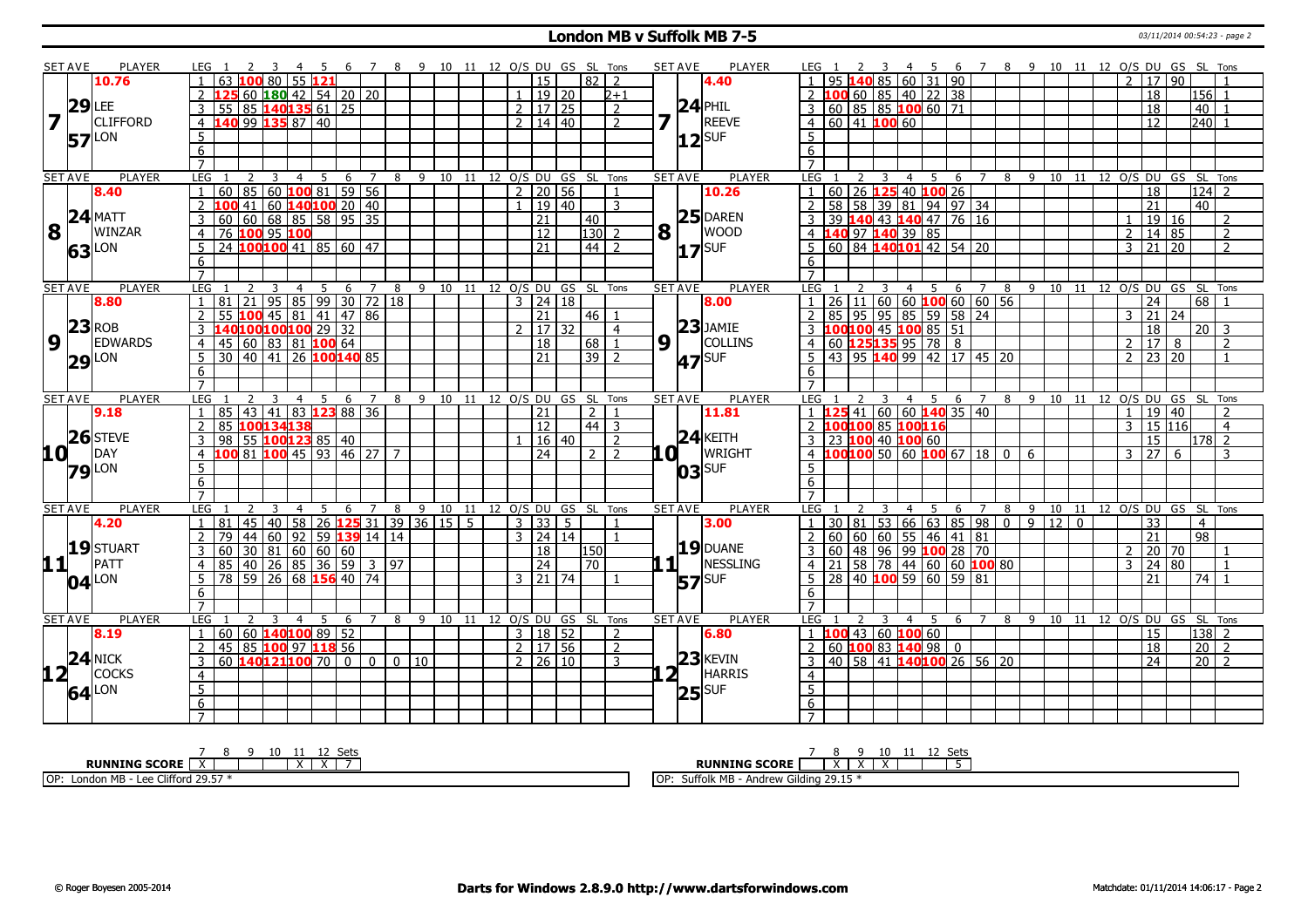#### **London MB v Suffolk MB 7-5** 03/11/2014 00:54:23 - page 2

|                         | <b>SET AVE</b> | <b>PLAYER</b>       |                                                                 |                                     | $\overline{7}$<br>-8 |                                |       | 9 10 11 12 O/S DU GS SL Tons |                      |                 |                      |                | <b>SET AVE</b>     | <b>PLAYER</b>     | LEG 1                                                                          | - 6                  | 7 8 9 10 11 12 O/S DU GS SL Tons |                |    |                                |                |                 |                   |                          |
|-------------------------|----------------|---------------------|-----------------------------------------------------------------|-------------------------------------|----------------------|--------------------------------|-------|------------------------------|----------------------|-----------------|----------------------|----------------|--------------------|-------------------|--------------------------------------------------------------------------------|----------------------|----------------------------------|----------------|----|--------------------------------|----------------|-----------------|-------------------|--------------------------|
|                         |                | 10.76               | 80                                                              | 55121                               |                      |                                |       |                              |                      | 15              |                      | 82   2         |                    | 4.40              | 140 85 60 31 90                                                                |                      |                                  |                |    |                                | $\mathcal{P}$  | 17 90           |                   |                          |
|                         |                |                     |                                                                 | 60 $180$ 42 54 20 20                |                      |                                |       |                              | $\mathbf{1}$         | 19 20           |                      | $2 + 1$        |                    |                   | $60 \ 85 \ 40 \ 22 \ 38$<br>100                                                |                      |                                  |                |    |                                |                | 18              | $ 156 $ 1         |                          |
|                         | $29$ LEE       |                     | 85 <b>140135</b> 61 25<br>3<br>55                               |                                     |                      |                                |       |                              | 2   17   25          |                 |                      | 2              |                    | $24$ PHIL         | 60 85 85 100 60 71                                                             |                      |                                  |                |    |                                |                | 18              | 40                |                          |
| $\overline{\mathbf{z}}$ | $\overline{1}$ | <b>CLIFFORD</b>     | 140 99 135 87 40<br>$\overline{4}$                              |                                     |                      |                                |       |                              | 2   14   40          |                 |                      | $\overline{2}$ | 7 T                | <b>REEVE</b>      | $4 \ 60 \ 41$ 100 60                                                           |                      |                                  |                |    |                                |                | 12              | $240$ 1           |                          |
|                         |                |                     |                                                                 |                                     |                      |                                |       |                              |                      |                 |                      |                |                    |                   |                                                                                |                      |                                  |                |    |                                |                |                 |                   |                          |
|                         |                | <b>57</b> LON       | 5                                                               |                                     |                      |                                |       |                              |                      |                 |                      |                |                    | $12$ $SUF$        | 5                                                                              |                      |                                  |                |    |                                |                |                 |                   |                          |
|                         |                |                     | 6                                                               |                                     |                      |                                |       |                              |                      |                 |                      |                |                    |                   | 6                                                                              |                      |                                  |                |    |                                |                |                 |                   |                          |
|                         |                |                     | $\overline{7}$                                                  |                                     |                      |                                |       |                              |                      |                 |                      |                |                    |                   | $\overline{7}$                                                                 |                      |                                  |                |    |                                |                |                 |                   |                          |
|                         | <b>SET AVE</b> | <b>PLAYER</b>       | LEG<br>2<br>3                                                   | $\overline{4}$<br>-5<br>- 6         | $\overline{7}$       | 8 9 10 11 12 0/S DU GS SL Tons |       |                              |                      |                 |                      |                | <b>SET AVE</b>     | <b>PLAYER</b>     | LEG 1<br>3                                                                     | 4 5<br>6             | 7 8 9 10 11 12 O/S DU GS SL Tons |                |    |                                |                |                 |                   |                          |
|                         |                | 8.40                | 85 60 100 81 59 56<br>60<br>$\mathbf{1}$                        |                                     |                      |                                |       |                              | $2$   20   56        |                 |                      | $\overline{1}$ |                    | 10.26             | 60 26 125 40 100 26                                                            |                      |                                  |                |    |                                |                | $\overline{18}$ |                   | $124$ 2                  |
|                         |                |                     | 100 41 60 140 100 20 40<br>$\overline{2}$                       |                                     |                      |                                |       |                              | $\mathbf{1}$         | 19 40           |                      | 3              |                    |                   | 58 58 39 81 94 97 34                                                           |                      |                                  |                |    |                                |                | $\overline{21}$ | 40                |                          |
|                         |                | $24$ MATT           | 60   68   85   58   95   35<br>3<br>60                          |                                     |                      |                                |       |                              |                      | $\overline{21}$ | 40                   |                |                    | $25$ DAREN        | 39 140 43 140 47 76 16                                                         |                      |                                  |                |    |                                |                | $\boxed{19}$ 16 |                   | 2                        |
| 8                       | $\vert \vert$  | <b>WINZAR</b>       | 76 100 95 100<br>4                                              |                                     |                      |                                |       |                              |                      | $\overline{12}$ | $130$ 2              |                | $\mathbf{8}$       | <b>WOOD</b>       | 4 140 97 140 39 85                                                             |                      |                                  |                |    |                                | $\overline{2}$ | 14 85           |                   | $\overline{2}$           |
|                         |                | 63 LON              | 24 100 100 41 85 60 47                                          |                                     |                      |                                |       |                              |                      | 21              | $44$   2             |                |                    | $17$ SUF          | 60 84 140101 42 54 20                                                          |                      |                                  |                |    |                                | 3              | $\overline{21}$ | 20                | $\overline{2}$           |
|                         |                |                     | 6                                                               |                                     |                      |                                |       |                              |                      |                 |                      |                |                    |                   | 6                                                                              |                      |                                  |                |    |                                |                |                 |                   |                          |
|                         |                |                     | $\overline{7}$                                                  |                                     |                      |                                |       |                              |                      |                 |                      |                |                    |                   |                                                                                |                      |                                  |                |    |                                |                |                 |                   |                          |
|                         | <b>SET AVE</b> | <b>PLAYER</b>       | LEG                                                             | 5 6 7<br>$\overline{4}$             | - 8                  |                                |       | 9 10 11 12 O/S DU GS SL Tons |                      |                 |                      |                | <b>SET AVE</b>     | <b>PLAYER</b>     | LEG                                                                            | 4 5 6 7              |                                  |                |    | 8 9 10 11 12 O/S DU GS SL Tons |                |                 |                   |                          |
|                         |                | 8.80                | 81<br>21                                                        | $95$ 85 99 30 72 18                 |                      |                                |       |                              | $3 \mid 24 \mid 18$  |                 |                      |                |                    | 8.00              | $11   60   60$ 100 60 60 56<br>$\overline{26}$                                 |                      |                                  |                |    |                                |                | 24              | 68                |                          |
|                         |                |                     | 2<br>55<br>100                                                  | 45 81 41 47 86                      |                      |                                |       |                              |                      | 21              | $46$   1             |                |                    |                   | 85<br>95<br>$\overline{2}$                                                     | 95 85 59 58 24       |                                  |                |    |                                | $\mathbf{3}$   | 21              | 24                |                          |
|                         |                | $23$ <sub>ROB</sub> | 140100100100 29 32<br>3                                         |                                     |                      |                                |       |                              | $2 \mid 17 \mid 32$  |                 |                      | $\overline{4}$ |                    | $23$ JAMIE        | 3 100 100 45 100 85 51                                                         |                      |                                  |                |    |                                |                | 18              |                   | $20 \mid 3$              |
| $\overline{9}$          | LΓ             | <b>EDWARDS</b>      | $45 \mid 60 \mid 83 \mid 81 \mid 100 \mid 64$<br>$\overline{4}$ |                                     |                      |                                |       |                              |                      | 18              | 68                   | $\overline{1}$ | 9 <sup>1</sup>     | <b>COLLINS</b>    | 60 <b>125 135</b> 95 78 8<br>43 95 <b>140</b> 99 42 17 45 20<br>$\overline{4}$ |                      |                                  |                |    |                                | $\overline{2}$ | 17              | 8                 | $\overline{2}$           |
|                         |                | $29$ LON            | 30 40 41 26 100 140 85<br>5 <sup>5</sup>                        |                                     |                      |                                |       |                              |                      | 21              | $39$   2             |                |                    | 47 SUF            | 5                                                                              |                      |                                  |                |    |                                | $\overline{2}$ | 23 20           |                   |                          |
|                         |                |                     | 6                                                               |                                     |                      |                                |       |                              |                      |                 |                      |                |                    |                   | 6                                                                              |                      |                                  |                |    |                                |                |                 |                   |                          |
|                         |                |                     | $\overline{7}$                                                  |                                     |                      |                                |       |                              |                      |                 |                      |                |                    |                   |                                                                                |                      |                                  |                |    |                                |                |                 |                   |                          |
|                         | <b>SET AVE</b> | <b>PLAYER</b>       | LEG<br>3                                                        | $\overline{4}$<br>5 6 7 8           |                      |                                |       | 9 10 11 12 O/S DU GS SL Tons |                      |                 |                      |                | <b>SET AVE</b>     | <b>PLAYER</b>     | LEG 1<br>3                                                                     | 4 5 6 7 8 9 10 11 12 |                                  |                |    |                                |                |                 | O/S DU GS SL Tons |                          |
|                         |                | 9.18                | 85   43   41   83 <b>123</b> 88   36<br>$\overline{1}$          |                                     |                      |                                |       |                              |                      | 21              | 2 <sub>1</sub>       | $\overline{1}$ |                    | 11.81             | <mark>.25</mark> 41 60 60 <b>140</b> 35 40                                     |                      |                                  |                |    |                                | $\mathbf{1}$   | 19 40           |                   | $\mathcal{L}$            |
|                         |                |                     | $\overline{2}$<br>85<br><u>100<mark>134</mark>138</u>           |                                     |                      |                                |       |                              |                      | 12              |                      | $44 \mid 3$    |                    |                   | 100100 85 100116                                                               |                      |                                  |                |    |                                | 3              | 15 116          |                   | $\overline{4}$           |
|                         |                | $26$ STEVE          | 98 55 100123 85 40                                              |                                     |                      |                                |       |                              |                      | 16 40           |                      | $\overline{2}$ |                    | $24$ KEITH        | 23 100 40 100 60                                                               |                      |                                  |                |    |                                |                | 15              |                   | $178$ 2                  |
| <b>10</b>               |                | DAY                 |                                                                 |                                     |                      |                                |       |                              |                      |                 |                      |                |                    |                   |                                                                                |                      |                                  |                |    |                                |                |                 | 6                 | 3                        |
|                         |                |                     |                                                                 |                                     |                      |                                |       |                              |                      |                 |                      |                |                    |                   |                                                                                |                      |                                  |                |    |                                |                |                 |                   |                          |
|                         |                |                     | $\overline{4}$                                                  | 81 <b>100</b> 45 93 46 27 7         |                      |                                |       |                              |                      | 24              |                      | $2 \mid 2$     | LO I               | <b>WRIGHT</b>     | 00 100 50 60 100 67 18<br>4                                                    |                      | $\Omega$                         | 6              |    |                                | $\overline{3}$ | 27              |                   |                          |
|                         |                | <b>79</b> LON       | 5                                                               |                                     |                      |                                |       |                              |                      |                 |                      |                |                    | $ 03 $ SUF        |                                                                                |                      |                                  |                |    |                                |                |                 |                   |                          |
|                         |                |                     | 6                                                               |                                     |                      |                                |       |                              |                      |                 |                      |                |                    |                   | 6                                                                              |                      |                                  |                |    |                                |                |                 |                   |                          |
|                         |                |                     | $\overline{7}$                                                  |                                     |                      |                                |       |                              |                      |                 |                      |                |                    |                   | $\overline{7}$                                                                 |                      |                                  |                |    |                                |                |                 |                   |                          |
|                         | <b>SET AVE</b> | <b>PLAYER</b>       | LEG                                                             | 6                                   | 8                    | 9                              | 10 11 |                              |                      |                 | 12 O/S DU GS SL Tons |                | <b>SET AVE</b>     | <b>PLAYER</b>     | LEG<br>$\overline{4}$                                                          | 6                    | 7                                | 8 9            |    | 10 11 12 0/S DU GS SL          |                |                 |                   | Tons                     |
|                         |                | 4.20                | 81<br>45<br>40                                                  | $26$ <b>125</b> 31 39 36 15 5<br>58 |                      |                                |       |                              | $3 \mid 33 \mid$     |                 | 5 <sup>5</sup>       |                |                    | 3.00              | 30 81                                                                          | 53 66 63 85 98       | $\overline{0}$                   | $\overline{9}$ | 12 | $\mathbf{0}$                   |                | 33              | $\overline{4}$    |                          |
|                         |                |                     | $\overline{2}$<br>79                                            | 44 60 92 59 139 14 14               |                      |                                |       |                              | 3   24   14          |                 |                      | $\overline{1}$ |                    |                   | 60   60   60   55   46   41   81                                               |                      |                                  |                |    |                                |                | 21              | $\overline{98}$   |                          |
|                         |                | 19STUART            | 60<br>3                                                         |                                     |                      |                                |       |                              |                      | 18              | 150                  |                |                    | 19 DUANE          | 60 48 96 99 100 28 70<br>3                                                     |                      |                                  |                |    |                                | $\overline{2}$ | 20 70           |                   |                          |
|                         | 11             | PATT                | 30 81 60 60 60<br>40 26 85 36 59 3 97<br>$\overline{4}$<br>85   |                                     |                      |                                |       |                              |                      | $\overline{24}$ | $\overline{70}$      |                | 111                | NESSLING          | 58 78 44 60 60 100 80<br>$\overline{4}$<br>$211$                               |                      |                                  |                |    |                                | $\mathbf{3}$   | 24 80           |                   |                          |
|                         |                | $04$ <sup>LON</sup> | 59 26 68 <b>156</b> 40 74<br>$\overline{78}$<br>5               |                                     |                      |                                |       |                              | $3 \mid 21 \mid 74$  |                 |                      |                |                    | <b>57</b> SUF     | 28 40 100 59 60 59 81<br>5                                                     |                      |                                  |                |    |                                |                | 21              | 74                |                          |
|                         |                |                     | 6                                                               |                                     |                      |                                |       |                              |                      |                 |                      |                |                    |                   | 6                                                                              |                      |                                  |                |    |                                |                |                 |                   |                          |
|                         |                |                     | $\overline{7}$                                                  |                                     |                      |                                |       |                              |                      |                 |                      |                |                    |                   | $\overline{7}$                                                                 |                      |                                  |                |    |                                |                |                 |                   |                          |
|                         | <b>SET AVE</b> | PLAYER              | LEG<br>3                                                        | 4<br>-6                             | $\overline{7}$       | 8 9 10 11 12 O/S DU GS SL Tons |       |                              |                      |                 |                      |                | <b>SET AVE</b>     | PLAYER            | LEG <sub>1</sub><br>$\overline{4}$                                             | $-5$                 | 6 7                              |                |    | 8 9 10 11 12 O/S DU GS SL Tons |                |                 |                   |                          |
|                         |                | 8.19                | 60<br>$\mathbf{1}$                                              | 60 140100 89 52                     |                      |                                |       |                              | 3   18   52          |                 |                      | $\overline{2}$ |                    | 6.80              | $1 \ 100$ 43 60 100 60                                                         |                      |                                  |                |    |                                |                | $\overline{15}$ |                   | 138 2                    |
|                         |                |                     | 45 85 100 97 118 56<br>$\overline{2}$                           |                                     |                      |                                |       |                              | $2 \mid 17 \mid 56$  |                 |                      | $\sqrt{2}$     |                    |                   | 60 100 83 140 98 0                                                             |                      |                                  |                |    |                                |                | $\overline{18}$ |                   | $20 \mid 2$              |
|                         |                | $24$ NICK           | 60<br>3<br>$140121100$ 70   0   0   0   10                      |                                     |                      |                                |       |                              | $\sqrt{2}$   26   10 |                 |                      | 3              |                    | $23$ <b>KEVIN</b> | 40 58 41 140100 26 56 20                                                       |                      |                                  |                |    |                                |                | 24              |                   | $\boxed{20}$ $\boxed{2}$ |
| 12 <sub>1</sub>         |                | <b>COCKS</b>        | $\overline{4}$                                                  |                                     |                      |                                |       |                              |                      |                 |                      |                | $2^{\overline{1}}$ | HARRIS            | $\overline{4}$                                                                 |                      |                                  |                |    |                                |                |                 |                   |                          |
|                         |                |                     | 5                                                               |                                     |                      |                                |       |                              |                      |                 |                      |                |                    |                   | $\overline{5}$                                                                 |                      |                                  |                |    |                                |                |                 |                   |                          |
|                         |                | $64$ <sup>LON</sup> | 6<br>$\overline{7}$                                             |                                     |                      |                                |       |                              |                      |                 |                      |                |                    | $ 25 $ SUF        | 6                                                                              |                      |                                  |                |    |                                |                |                 |                   |                          |

| 10<br>-⊂ot<br>n<br>---                                                                                 | ۲۵t<br>ーーー                                                                      |
|--------------------------------------------------------------------------------------------------------|---------------------------------------------------------------------------------|
| <b>RUNNING SCORE</b>                                                                                   | INNING SCORE<br><b>RUNN</b><br>$\ddot{\phantom{1}}$<br>$\overline{\phantom{a}}$ |
| Clifford 29.57<br>OP:<br>$- \cdot - -$<br>ำn MB<br>$\overline{1}$ $\overline{2}$<br>i ondr<br>LUILUUIT | 20.15<br>Andrew Gilding 29.15<br><br>Suffolk I<br>TOP:                          |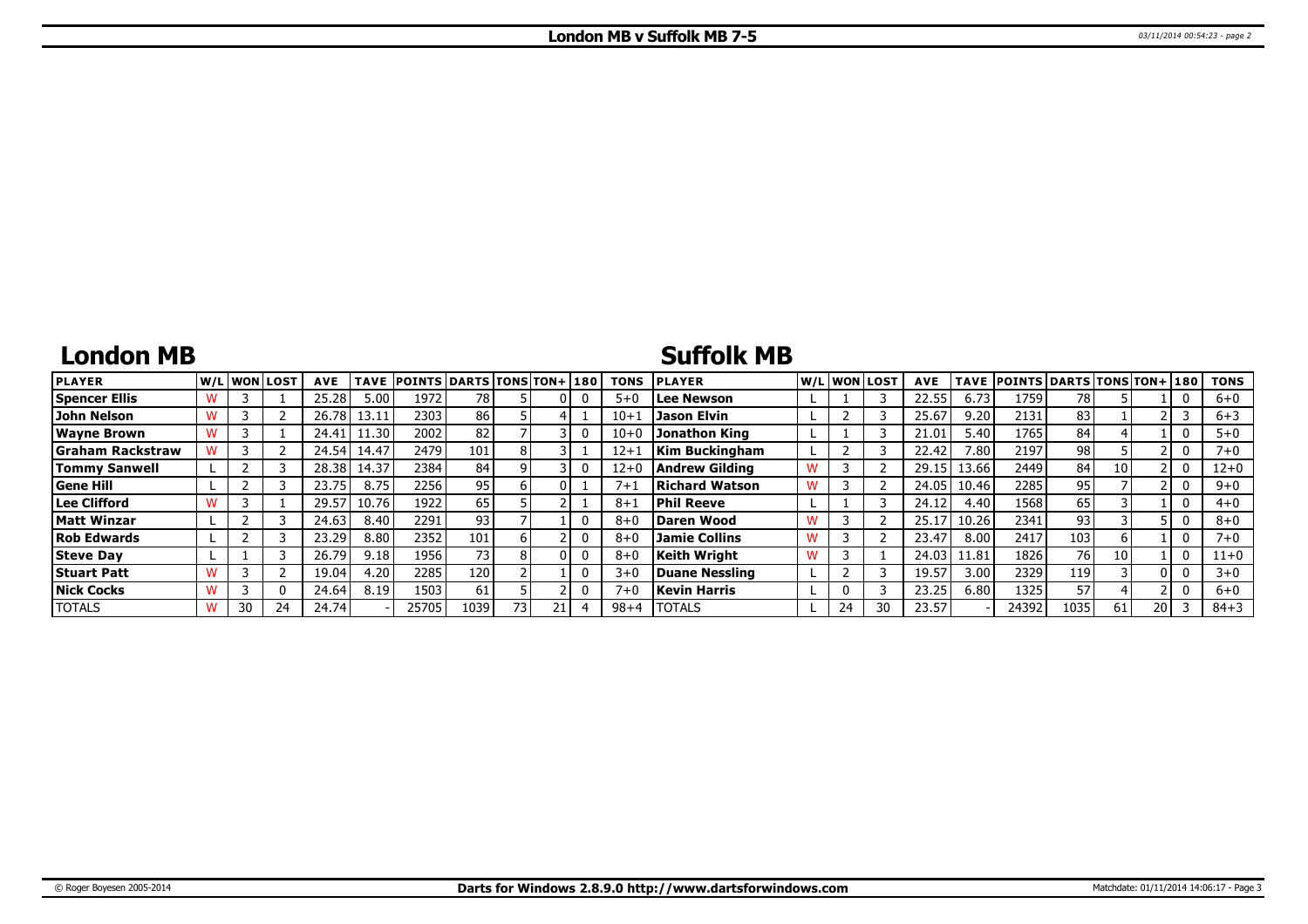## **London MB**

### **Suffolk MB**

| <b>PLAYER</b>           |    | lw/Llwonllost | <b>AVE</b> | <b>TAVE</b> | <b>POINTS DARTS TONS TON+180</b> |      |     |  | <b>TONS</b> | <b>PLAYER</b>         |    | W/Liwonilost | <b>AVE</b> |       | TAVE POINTS DARTS TONS TON+ 180 |      |    |      | <b>TONS</b> |
|-------------------------|----|---------------|------------|-------------|----------------------------------|------|-----|--|-------------|-----------------------|----|--------------|------------|-------|---------------------------------|------|----|------|-------------|
| <b>Spencer Ellis</b>    |    |               | 25.28      | 5.00        | 1972                             | 78   |     |  | $5 + 0$     | Lee Newson            |    |              | 22.5       | 6.73  | 1759                            | 78   |    |      | $6 + 0$     |
| John Nelson             |    |               | 26.78      | 13.11       | 2303                             | 86   |     |  | $10+1$      | Jason Elvin           |    |              | 25.67      | 9.20  | 2131                            | 83   |    |      | $6 + 3$     |
| <b>Wayne Brown</b>      |    |               | 24.41      | 11.30       | 2002                             | 82   |     |  | $10 + 0$    | Jonathon King         |    |              | 21.01      | 5.40  | 1765                            | 84   |    |      | $5 + 0$     |
| <b>Graham Rackstraw</b> |    |               | 24.54      | 14.47       | 2479                             | 101  |     |  | $12 + 1$    | <b>Kim Buckingham</b> |    |              | 22.42      | 7.80  | 2197                            | 98   |    |      | $7 + 0$     |
| <b>Tommy Sanwell</b>    |    |               | 28.38      | 14.37       | 2384                             | 84   |     |  | $12+0$      | Andrew Gildina        |    |              | 29.15      | 13.66 | 2449                            | 84   | 10 |      | $12+0$      |
| <b>Gene Hill</b>        |    |               | 23.75      | 8.75        | 2256                             | 95   |     |  | $7 + 1$     | Richard Watson        |    |              | 24.05      | 10.46 | 2285                            | 95   |    |      | $9 + 0$     |
| Lee Clifford            |    |               | 29.57      | 10.76       | 1922                             | 65   |     |  | $8 + 1$     | Phil Reeve            |    |              | 24.12      | 4.40  | 1568                            | 65   |    |      | $4 + 0$     |
| <b>Matt Winzar</b>      |    |               | 24.63      | 8.40        | 2291                             | 93   |     |  | $8 + 6$     | Daren Wood            |    |              | 25.1       | 10.26 | 2341                            | 93   |    |      | $8 + 0$     |
| <b>Rob Edwards</b>      |    |               | 23.29      | 8.80        | 2352                             | 101  |     |  | $8 + 0$     | <b>Jamie Collins</b>  |    |              | 23.47      | 8.00  | 2417                            | 103  |    |      | $7 + 0$     |
| <b>Steve Day</b>        |    |               | 26.79      | 9.18        | 1956                             | 73.  |     |  | $8 + C$     | Keith Wriaht          |    |              | 24.03      | 11.81 | 1826                            | 76   | 10 |      | $11+0$      |
| <b>Stuart Patt</b>      |    |               | 19.04      | 4.20        | 2285                             | 120  |     |  | $3 + C$     | Duane Nessling        |    |              | 19.57      | 3.00  | 2329                            | 119  |    | ΩI   | $3 + 0$     |
| <b>Nick Cocks</b>       |    | 0             | 24.64      | 8.19        | 1503                             | 61   |     |  | $7 + 0$     | Kevin Harris          |    |              | 23.25      | 6.80  | 1325                            | 57   |    |      | $6 + 0$     |
| <b>TOTALS</b>           | 30 | 24            | 24.74      |             | 25705                            | 1039 | 73. |  | $98 + 4$    | <b>TOTALS</b>         | 24 |              | 23.57      |       | 24392                           | 1035 | 61 | 20 I | $84 + 3$    |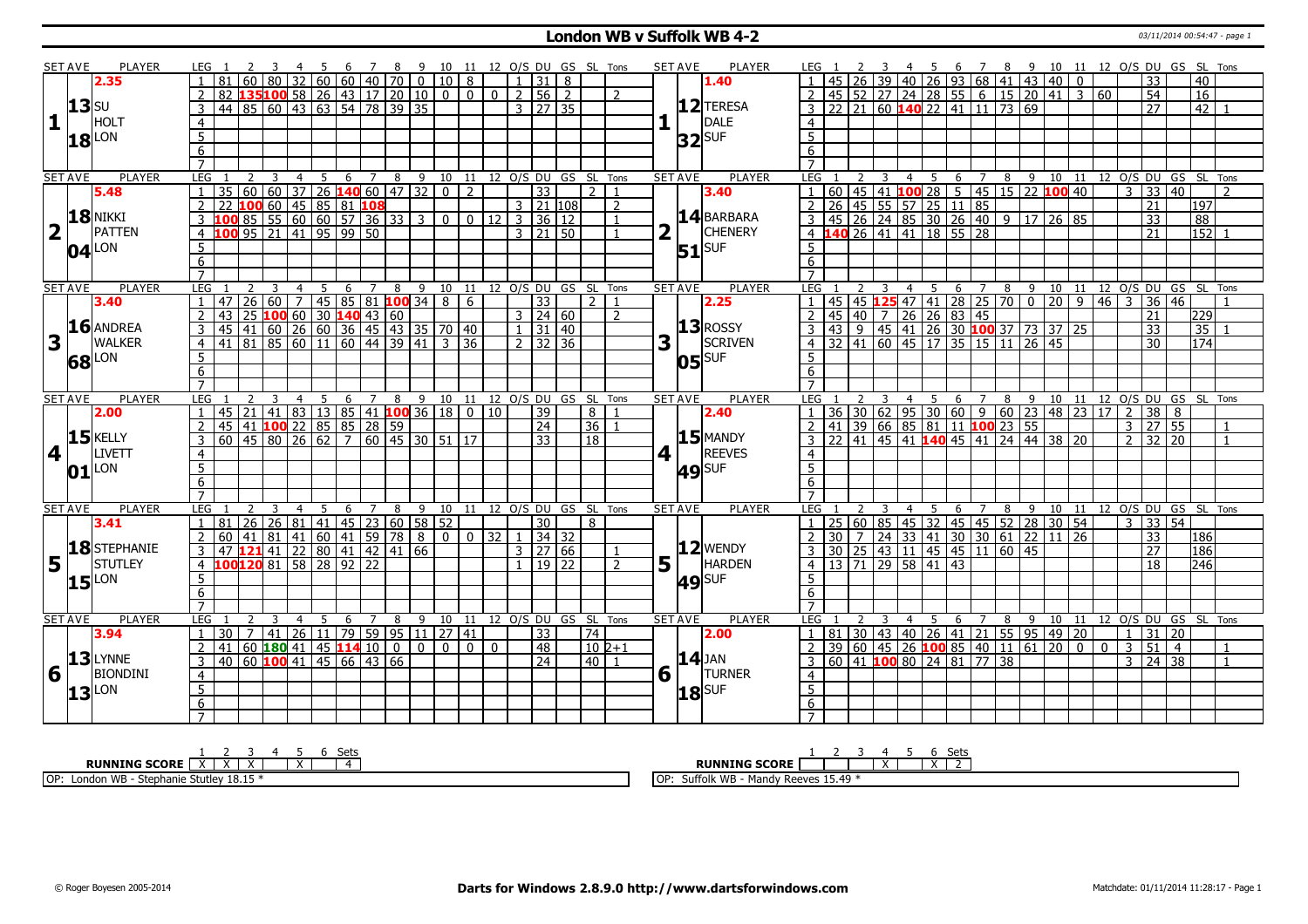#### **London WB v Suffolk WB 4-2** 03/11/2014 00:54:47 - page 1

|                         | SET AVE        | PLAYER              | LEG 1                 |                                                          |          |    |                |             |                                      |                 | 78                      |                                                        | 9 10 11 12 O/S DU GS SL Tons |                |              |                     |                     |          |                |                |   | <b>SET AVE</b>                 | <b>PLAYER</b>  | LEG 1                        |               |                 |   | 45                                                                                                                   |   |                |                |                 |                 |                   |               |                         | 6 7 8 9 10 11 12 O/S DU GS SL Tons     |                |  |
|-------------------------|----------------|---------------------|-----------------------|----------------------------------------------------------|----------|----|----------------|-------------|--------------------------------------|-----------------|-------------------------|--------------------------------------------------------|------------------------------|----------------|--------------|---------------------|---------------------|----------|----------------|----------------|---|--------------------------------|----------------|------------------------------|---------------|-----------------|---|----------------------------------------------------------------------------------------------------------------------|---|----------------|----------------|-----------------|-----------------|-------------------|---------------|-------------------------|----------------------------------------|----------------|--|
|                         |                | 2.35                |                       | 81                                                       |          |    |                |             |                                      |                 |                         | 32   60   60   40   70   0   10   8                    |                              |                |              |                     |                     |          |                |                |   |                                | 1.40           |                              |               |                 |   | 26   39   40   26   93   68   41   43   40                                                                           |   |                |                |                 | $\mathbf{0}$    |                   |               | $\overline{33}$         |                                        | 40             |  |
|                         |                |                     |                       | $82  135 100  58  26  43  17  20  10  0  0  0  2  56  2$ |          |    |                |             |                                      |                 |                         |                                                        |                              |                |              |                     |                     |          |                | $\mathcal{L}$  |   |                                |                | 2                            |               |                 |   | $\boxed{45}$ 52 27 24 28 55 6 15 20 41 3 60                                                                          |   |                |                |                 |                 |                   |               | $\overline{54}$         |                                        | 16             |  |
|                         | $13$ su        |                     | 3                     | 44 85 60 43 63 54 78 39 35                               |          |    |                |             |                                      |                 |                         |                                                        |                              |                |              |                     | $3 \mid 27 \mid 35$ |          |                |                |   |                                | 12 TERESA      |                              |               |                 |   | 22 21 60 140 22 41 11 73 69                                                                                          |   |                |                |                 |                 |                   |               | 27                      |                                        | 42             |  |
| 1                       |                | HOLT                | $\overline{4}$        |                                                          |          |    |                |             |                                      |                 |                         |                                                        |                              |                |              |                     |                     |          |                |                |   | $\mathbf{L}$                   | DALE           | $\overline{4}$               |               |                 |   |                                                                                                                      |   |                |                |                 |                 |                   |               |                         |                                        |                |  |
|                         |                |                     | $\overline{5}$        |                                                          |          |    |                |             |                                      |                 |                         |                                                        |                              |                |              |                     |                     |          |                |                |   |                                |                | 5 <sup>1</sup>               |               |                 |   |                                                                                                                      |   |                |                |                 |                 |                   |               |                         |                                        |                |  |
|                         |                | $18$ <sup>LON</sup> |                       |                                                          |          |    |                |             |                                      |                 |                         |                                                        |                              |                |              |                     |                     |          |                |                |   |                                | $32$ SUF       |                              |               |                 |   |                                                                                                                      |   |                |                |                 |                 |                   |               |                         |                                        |                |  |
|                         |                |                     | 6                     |                                                          |          |    |                |             |                                      |                 |                         |                                                        |                              |                |              |                     |                     |          |                |                |   |                                |                | 6                            |               |                 |   |                                                                                                                      |   |                |                |                 |                 |                   |               |                         |                                        |                |  |
|                         |                | <b>PLAYER</b>       | $\overline{7}$<br>LEG |                                                          |          |    |                |             |                                      |                 |                         |                                                        |                              |                |              |                     |                     |          |                |                |   |                                | <b>PLAYER</b>  | $\overline{7}$<br><b>LEG</b> |               |                 |   |                                                                                                                      |   |                |                |                 |                 |                   |               |                         |                                        |                |  |
|                         | <b>SET AVE</b> | 5.48                |                       | 35                                                       | 2<br>60  |    | $\overline{4}$ | $5^{\circ}$ |                                      | 6 <sup>7</sup>  | $\overline{\mathbf{8}}$ | $\overline{60}$ 37 26 140 60 47 32 0                   | 9 10 11 12 O/S DU GS SL Tons | $\overline{2}$ |              |                     | $\overline{33}$     |          | $\overline{2}$ | $\overline{1}$ |   | <b>SET AVE</b>                 | 3.40           |                              |               |                 |   |                                                                                                                      |   |                |                |                 |                 |                   |               |                         |                                        |                |  |
|                         |                |                     |                       | 22                                                       | 100      |    |                |             |                                      |                 |                         |                                                        |                              |                |              |                     |                     | 3 21 108 |                | $\overline{2}$ |   |                                |                | $2 \mid 26$                  |               |                 |   | $\boxed{45}$ 55 57 25 11 85                                                                                          |   |                |                |                 |                 |                   |               |                         |                                        | 197            |  |
|                         |                | 18 NIKKI            | 2                     |                                                          |          |    |                |             | 60   45   85   81   <mark>108</mark> |                 |                         |                                                        |                              |                |              |                     |                     |          |                |                |   |                                | 14 BARBARA     |                              |               |                 |   |                                                                                                                      |   |                |                |                 |                 |                   |               | 21                      |                                        |                |  |
|                         |                |                     | $\mathbf{3}$          |                                                          |          |    |                |             |                                      |                 |                         | 85 55 60 60 57 36 33 3                                 |                              |                |              | $0$ 0 12 3 36 12    |                     |          |                |                |   |                                |                |                              |               |                 |   | $3   45   26   24   85   30   26   40   9   17$                                                                      |   |                |                | 26 85           |                 |                   |               | $\overline{33}$         |                                        | 88             |  |
| $\overline{\mathbf{2}}$ | $\mathbf{1}$   | <b>PATTEN</b>       | $\overline{4}$        | 100 95 21 41 95 99 50                                    |          |    |                |             |                                      |                 |                         |                                                        |                              |                |              | $3 \mid 21 \mid 50$ |                     |          |                | $\overline{1}$ |   | $\mathbf{L}$                   | <b>CHENERY</b> |                              |               |                 |   | 4 140 26 41 41 18 55 28                                                                                              |   |                |                |                 |                 |                   |               | $\overline{21}$         |                                        | $152$ 1        |  |
|                         |                | $04$ <sup>LON</sup> | 5                     |                                                          |          |    |                |             |                                      |                 |                         |                                                        |                              |                |              |                     |                     |          |                |                |   |                                | $51$ $SUF$     | 5 <sup>5</sup>               |               |                 |   |                                                                                                                      |   |                |                |                 |                 |                   |               |                         |                                        |                |  |
|                         |                |                     | 6                     |                                                          |          |    |                |             |                                      |                 |                         |                                                        |                              |                |              |                     |                     |          |                |                |   |                                |                | 6                            |               |                 |   |                                                                                                                      |   |                |                |                 |                 |                   |               |                         |                                        |                |  |
|                         |                |                     | $\overline{7}$        |                                                          |          |    |                |             |                                      |                 |                         |                                                        |                              |                |              |                     |                     |          |                |                |   |                                |                |                              |               |                 |   |                                                                                                                      |   |                |                |                 |                 |                   |               |                         |                                        |                |  |
|                         | <b>SET AVE</b> | <b>PLAYER</b>       | LEG                   |                                                          |          | 3  | $\overline{4}$ | 5           |                                      |                 |                         | 6 7 8 9 10 11 12 O/S DU GS SL Tons                     |                              |                |              |                     |                     |          |                |                |   | <b>SET AVE</b>                 | <b>PLAYER</b>  | LEG <sub>1</sub>             |               |                 | 3 |                                                                                                                      |   |                |                |                 |                 |                   |               |                         | 4 5 6 7 8 9 10 11 12 O/S DU GS SL Tons |                |  |
|                         |                | 3.40                |                       | l 47                                                     |          |    |                |             |                                      |                 |                         | $\boxed{26}$ 60 $\boxed{7}$ 45 85 81 <b>100</b> 34 8 6 |                              |                |              |                     | $\overline{33}$     |          | $\overline{2}$ |                |   |                                | 2.25           |                              |               |                 |   | 45 45 <b>125</b> 47 41 28 25 70 0<br>45 40 7 26 26 83 45                                                             |   |                |                | $\overline{20}$ | $\boxed{9}$     | $46 \overline{3}$ |               | $36 \mid 46$            |                                        |                |  |
|                         |                |                     |                       | 43                                                       |          |    |                |             |                                      |                 | 25 100 60 30 140 43 60  |                                                        |                              |                |              |                     | $3 \mid 24 \mid 60$ |          |                | $\overline{2}$ |   |                                |                | $\overline{2}$               |               |                 |   |                                                                                                                      |   |                |                |                 |                 |                   |               | 21                      | 229                                    |                |  |
|                         |                | 16 ANDREA           | 3                     | 45                                                       |          |    |                |             |                                      |                 |                         | 41   60   26   60   36   45   43   35   70   40        |                              |                |              |                     | $31 \mid 40$        |          |                |                |   |                                | $13$ ROSSY     | 3                            |               |                 |   | $\vert$ 43   9   45   41   26   30 <b>100</b> 37   73   37   25                                                      |   |                |                |                 |                 |                   |               | $\overline{33}$         |                                        | 35             |  |
| 3                       | $\mathbf{I}$   | <b>WALKER</b>       | $\overline{4}$        | 41 81 85 60 11 60 44 39 41 3 36                          |          |    |                |             |                                      |                 |                         |                                                        |                              |                |              | $\overline{2}$      | 32 36               |          |                |                | 3 |                                | SCRIVEN        |                              |               |                 |   | $4 \overline{)32 \overline{)41 \overline{)60 \overline{)45 \overline{)17 \overline{)35 \overline{15 \overline{)11}}$ |   |                | $\sqrt{26/45}$ |                 |                 |                   |               | $\overline{30}$         |                                        | 174            |  |
|                         |                | 68 LON              | 5                     |                                                          |          |    |                |             |                                      |                 |                         |                                                        |                              |                |              |                     |                     |          |                |                |   |                                | $05$ SISUF     | 5                            |               |                 |   |                                                                                                                      |   |                |                |                 |                 |                   |               |                         |                                        |                |  |
|                         |                |                     | 6                     |                                                          |          |    |                |             |                                      |                 |                         |                                                        |                              |                |              |                     |                     |          |                |                |   |                                |                | 6                            |               |                 |   |                                                                                                                      |   |                |                |                 |                 |                   |               |                         |                                        |                |  |
|                         |                |                     | $\overline{7}$        |                                                          |          |    |                |             |                                      |                 |                         |                                                        |                              |                |              |                     |                     |          |                |                |   |                                |                | $\overline{7}$               |               |                 |   |                                                                                                                      |   |                |                |                 |                 |                   |               |                         |                                        |                |  |
| <b>SET AVE</b>          |                | <b>PLAYER</b>       | LEG                   |                                                          |          |    |                | 5           | 6                                    | $\overline{7}$  | 8                       |                                                        | 9 10 11 12 O/S DU GS SL Tons |                |              |                     |                     |          |                |                |   | <b>SET AVE</b>                 | <b>PLAYER</b>  | LEG                          |               |                 |   | $\overline{4}$                                                                                                       |   | $5 \t6 \t7$    |                | 8 9 10 11       |                 |                   |               |                         | 12 O/S DU GS SL Tons                   |                |  |
|                         |                | 2.00                |                       | 45                                                       | 21 I     |    |                |             |                                      |                 |                         | $141 \ 83 \ 13 \ 85 \ 41$ <b>100</b> 36 18 0 10        |                              |                |              |                     | $\overline{39}$     |          | 8              |                |   |                                | 2.40           |                              | 36            | $\overline{30}$ |   | 62   95   30   60   9   60   23   48   23   17   2                                                                   |   |                |                |                 |                 |                   |               | $\overline{38}$         | 8                                      |                |  |
|                         |                |                     | 2                     | 45 41 100 22 85 85 28 59                                 |          |    |                |             |                                      |                 |                         |                                                        |                              |                |              |                     | $\overline{24}$     |          | 36 1           |                |   |                                |                | $2 \mid 41$                  |               |                 |   |                                                                                                                      |   |                |                |                 |                 |                   | 3 27          |                         | 55                                     | $\overline{1}$ |  |
|                         | 15             | <b>KELLY</b>        | $\overline{3}$        | 60 45 80 26 62 7 60 45 30 51 17                          |          |    |                |             |                                      |                 |                         |                                                        |                              |                |              |                     | $\overline{33}$     |          | 18             |                |   |                                | $15$ MANDY     |                              |               |                 |   | $3$   22   41   45   41   <b>140</b>   45   41   24   44   38   20                                                   |   |                |                |                 |                 |                   |               | $2 \times 32 \times 20$ |                                        | $\overline{1}$ |  |
| $\overline{4}$          | $\mathbf{I}$   | LIVETT              | $\overline{4}$        |                                                          |          |    |                |             |                                      |                 |                         |                                                        |                              |                |              |                     |                     |          |                |                |   | $4$   $\overline{\phantom{1}}$ | <b>REEVES</b>  | $\overline{4}$               |               |                 |   |                                                                                                                      |   |                |                |                 |                 |                   |               |                         |                                        |                |  |
|                         | 01             | LON                 | $\overline{5}$        |                                                          |          |    |                |             |                                      |                 |                         |                                                        |                              |                |              |                     |                     |          |                |                |   |                                | $49$ SUF       | $\overline{5}$               |               |                 |   |                                                                                                                      |   |                |                |                 |                 |                   |               |                         |                                        |                |  |
|                         |                |                     | $6\overline{6}$       |                                                          |          |    |                |             |                                      |                 |                         |                                                        |                              |                |              |                     |                     |          |                |                |   |                                |                | 6                            |               |                 |   |                                                                                                                      |   |                |                |                 |                 |                   |               |                         |                                        |                |  |
|                         |                |                     | $\overline{7}$        |                                                          |          |    |                |             |                                      |                 |                         |                                                        |                              |                |              |                     |                     |          |                |                |   |                                |                | $\overline{7}$               |               |                 |   |                                                                                                                      |   |                |                |                 |                 |                   |               |                         |                                        |                |  |
| <b>SET AVE</b>          |                | <b>PLAYER</b>       | LEG                   |                                                          |          |    |                | 5           | 6                                    |                 |                         | 7 8 9 10 11 12 O/S DU GS SL Tons                       |                              |                |              |                     |                     |          |                |                |   | <b>SET AVE</b>                 | <b>PLAYER</b>  | LEG                          |               |                 |   | 5<br>4                                                                                                               |   |                |                |                 |                 |                   |               |                         | 6 7 8 9 10 11 12 0/S DU GS SL Tons     |                |  |
|                         |                | 3.41                | $\overline{1}$        | 81   26   26   81   41   45   23   60   58   52          |          |    |                |             |                                      |                 |                         |                                                        |                              |                |              |                     | 30                  |          | 8              |                |   |                                |                |                              |               |                 |   | 1 25 60 85 45 32 45 45 52 28 30 54                                                                                   |   |                |                |                 |                 |                   | $\mathcal{E}$ | 33                      | 54                                     |                |  |
|                         |                |                     | 2                     | 60                                                       | 41       |    |                |             |                                      |                 |                         | $81  41  60  41  59  78  8  0  0 32$                   |                              |                |              | $\overline{1}$      | 34 32               |          |                |                |   |                                |                |                              |               |                 |   | 2 30 7 24 33 41 30 30 61                                                                                             |   |                |                | 22 11           | $\overline{26}$ |                   |               | $\overline{33}$         |                                        | 186            |  |
|                         |                | 18 STEPHANIE        | 3                     | 47                                                       | $121$ 41 |    |                |             |                                      |                 |                         | 22   80   41   42   41   66                            |                              |                |              |                     | $3 \mid 27 \mid 66$ |          |                | $\mathbf{1}$   |   |                                | $ 12 $ WENDY   |                              | $3 \ 30 \ 25$ |                 |   | 43 11 45 45 11 60 45                                                                                                 |   |                |                |                 |                 |                   |               | $\overline{27}$         |                                        | 186            |  |
| 5                       | $\mathbf{L}$   | <b>STUTLEY</b>      | $\overline{4}$        | 100120 81 58 28 92 22                                    |          |    |                |             |                                      |                 |                         |                                                        |                              |                |              | $\mathbf{1}$        | 19 22               |          |                | $\mathcal{L}$  | 5 | H.                             | <b>HARDEN</b>  |                              |               |                 |   | 4 13 71 29 58 41 43                                                                                                  |   |                |                |                 |                 |                   |               | 18                      |                                        | 246            |  |
|                         |                | $15$ <sup>LON</sup> | 5                     |                                                          |          |    |                |             |                                      |                 |                         |                                                        |                              |                |              |                     |                     |          |                |                |   |                                | $49$ SUF       | 5                            |               |                 |   |                                                                                                                      |   |                |                |                 |                 |                   |               |                         |                                        |                |  |
|                         |                |                     | 6                     |                                                          |          |    |                |             |                                      |                 |                         |                                                        |                              |                |              |                     |                     |          |                |                |   |                                |                | 6                            |               |                 |   |                                                                                                                      |   |                |                |                 |                 |                   |               |                         |                                        |                |  |
|                         |                |                     | $\overline{7}$        |                                                          |          |    |                |             |                                      |                 |                         |                                                        |                              |                |              |                     |                     |          |                |                |   |                                |                |                              |               |                 |   |                                                                                                                      |   |                |                |                 |                 |                   |               |                         |                                        |                |  |
| <b>SET AVE</b>          |                | <b>PLAYER</b>       | LEG                   |                                                          |          |    |                | -5          | 6                                    | $7\overline{ }$ |                         | 8 9 10 11 12 O/S DU GS SL Tons                         |                              |                |              |                     |                     |          |                |                |   | <b>SET AVE</b>                 | <b>PLAYER</b>  | LEG                          |               |                 |   | 4 5                                                                                                                  | 6 | $\overline{7}$ | $8 \quad 9$    |                 |                 |                   |               |                         | 10 11 12 0/S DU GS SL Tons             |                |  |
|                         |                | 3.94                |                       | 30 <sup>°</sup>                                          |          | 41 |                |             |                                      |                 |                         | 26 11 79 59 95 11 27 41                                |                              |                |              |                     | $\overline{33}$     |          | 74             |                |   |                                | 2.00           |                              |               |                 |   | 81   30   43   40   26   41   21   55   95   49   20                                                                 |   |                |                |                 |                 |                   | $\mathbf{1}$  | $\overline{31}$         | 20                                     |                |  |
|                         |                |                     |                       | 41                                                       |          |    |                |             | 60   180   41   45   114   10        |                 | $\overline{0}$          | 0 <sup>1</sup>                                         | $\overline{0}$               | $\mathbf{0}$   | $\mathbf{0}$ |                     | 48                  |          | $10 2+1$       |                |   |                                |                |                              |               |                 |   | 39 60 45 26 100 85 40 11 61                                                                                          |   |                |                | 20              | $\overline{0}$  | $\mathbf{0}$      | $\mathbf{3}$  | 51                      | $\overline{4}$                         |                |  |
|                         |                | $13$ LYNNE          | 3                     | $40\,$ 60 <b>100</b> 41 45 66 43 66                      |          |    |                |             |                                      |                 |                         |                                                        |                              |                |              |                     | $\overline{24}$     |          | 40             |                |   |                                | $14$ JAN       |                              |               |                 |   | 60 41 100 80 24 81 77 38                                                                                             |   |                |                |                 |                 |                   | $\mathcal{E}$ | 24 38                   |                                        | $\overline{1}$ |  |
| 6                       |                | <b>BIONDINI</b>     | $\overline{4}$        |                                                          |          |    |                |             |                                      |                 |                         |                                                        |                              |                |              |                     |                     |          |                |                | 6 |                                | <b>TURNER</b>  | $\overline{4}$               |               |                 |   |                                                                                                                      |   |                |                |                 |                 |                   |               |                         |                                        |                |  |
|                         |                |                     | $5\overline{)}$       |                                                          |          |    |                |             |                                      |                 |                         |                                                        |                              |                |              |                     |                     |          |                |                |   |                                |                | 5 <sup>5</sup>               |               |                 |   |                                                                                                                      |   |                |                |                 |                 |                   |               |                         |                                        |                |  |
|                         |                | $13$ <sup>LON</sup> | 6                     |                                                          |          |    |                |             |                                      |                 |                         |                                                        |                              |                |              |                     |                     |          |                |                |   |                                | $18$ SUF       | 6                            |               |                 |   |                                                                                                                      |   |                |                |                 |                 |                   |               |                         |                                        |                |  |
|                         |                |                     | $\overline{7}$        |                                                          |          |    |                |             |                                      |                 |                         |                                                        |                              |                |              |                     |                     |          |                |                |   |                                |                |                              |               |                 |   |                                                                                                                      |   |                |                |                 |                 |                   |               |                         |                                        |                |  |
|                         |                |                     |                       |                                                          |          |    |                |             |                                      |                 |                         |                                                        |                              |                |              |                     |                     |          |                |                |   |                                |                | $\overline{7}$               |               |                 |   |                                                                                                                      |   |                |                |                 |                 |                   |               |                         |                                        |                |  |

| Sets                                             | וםר<br>ししい                                                                                     |
|--------------------------------------------------|------------------------------------------------------------------------------------------------|
| <b>RUNNING SCORE</b>                             | <b>RUNNING SCORE</b><br>$\ddot{\phantom{1}}$<br>$\ddot{\phantom{1}}$<br>$\lambda$<br>$\lambda$ |
| Stutley 18.15<br>OP:<br>London WB<br>- Stephanie | Suffolk WB<br>v Reeves $15.49$ *<br>.OP:<br>Mandy                                              |